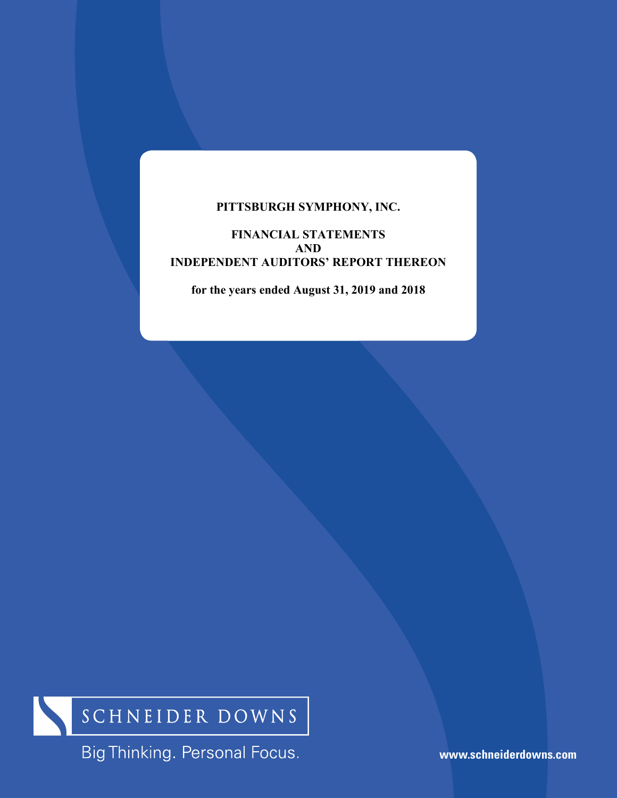## **PITTSBURGH SYMPHONY, INC.**

## **FINANCIAL STATEMENTS AND INDEPENDENT AUDITORS' REPORT THEREON**

**for the years ended August 31, 2019 and 2018** 



Big Thinking. Personal Focus.

**www.schneiderdowns.com**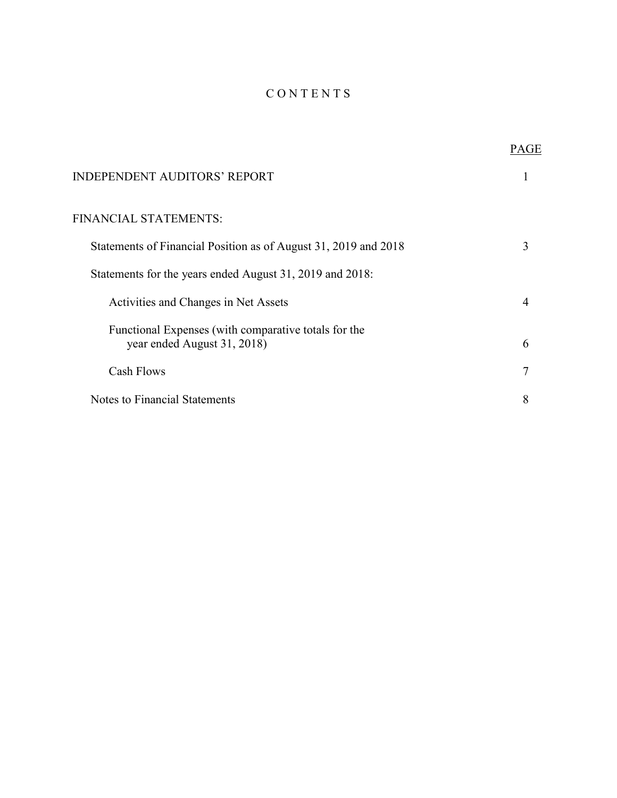# C O N T E N T S

|                                                                                     | PAGE |
|-------------------------------------------------------------------------------------|------|
| <b>INDEPENDENT AUDITORS' REPORT</b>                                                 |      |
| FINANCIAL STATEMENTS:                                                               |      |
| Statements of Financial Position as of August 31, 2019 and 2018                     | 3    |
| Statements for the years ended August 31, 2019 and 2018:                            |      |
| Activities and Changes in Net Assets                                                |      |
| Functional Expenses (with comparative totals for the<br>year ended August 31, 2018) | 6    |
| <b>Cash Flows</b>                                                                   | 7    |
| Notes to Financial Statements                                                       | 8    |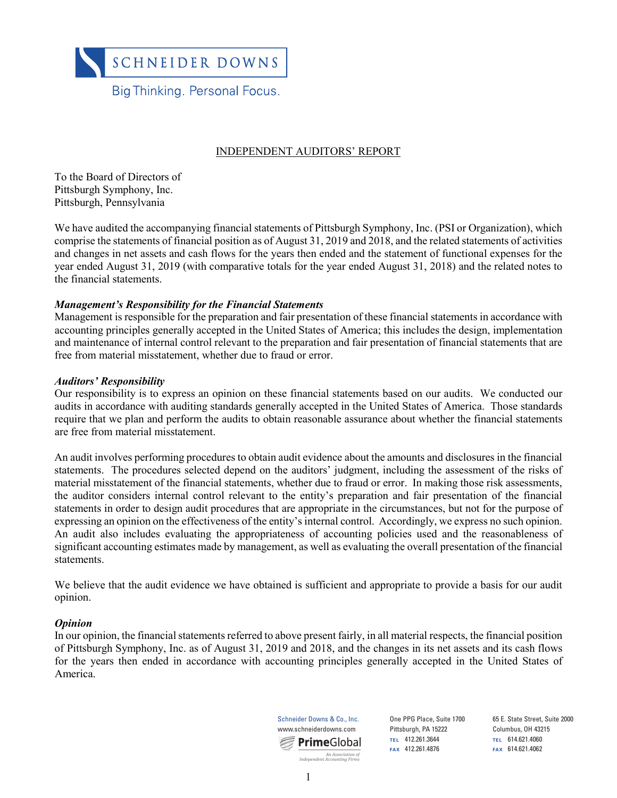

### INDEPENDENT AUDITORS' REPORT

To the Board of Directors of Pittsburgh Symphony, Inc. Pittsburgh, Pennsylvania

We have audited the accompanying financial statements of Pittsburgh Symphony, Inc. (PSI or Organization), which comprise the statements of financial position as of August 31, 2019 and 2018, and the related statements of activities and changes in net assets and cash flows for the years then ended and the statement of functional expenses for the year ended August 31, 2019 (with comparative totals for the year ended August 31, 2018) and the related notes to the financial statements.

#### *Management's Responsibility for the Financial Statements*

Management is responsible for the preparation and fair presentation of these financial statements in accordance with accounting principles generally accepted in the United States of America; this includes the design, implementation and maintenance of internal control relevant to the preparation and fair presentation of financial statements that are free from material misstatement, whether due to fraud or error.

#### *Auditors' Responsibility*

Our responsibility is to express an opinion on these financial statements based on our audits. We conducted our audits in accordance with auditing standards generally accepted in the United States of America. Those standards require that we plan and perform the audits to obtain reasonable assurance about whether the financial statements are free from material misstatement.

An audit involves performing procedures to obtain audit evidence about the amounts and disclosures in the financial statements. The procedures selected depend on the auditors' judgment, including the assessment of the risks of material misstatement of the financial statements, whether due to fraud or error. In making those risk assessments, the auditor considers internal control relevant to the entity's preparation and fair presentation of the financial statements in order to design audit procedures that are appropriate in the circumstances, but not for the purpose of expressing an opinion on the effectiveness of the entity's internal control. Accordingly, we express no such opinion. An audit also includes evaluating the appropriateness of accounting policies used and the reasonableness of significant accounting estimates made by management, as well as evaluating the overall presentation of the financial statements.

We believe that the audit evidence we have obtained is sufficient and appropriate to provide a basis for our audit opinion.

#### *Opinion*

In our opinion, the financial statements referred to above present fairly, in all material respects, the financial position of Pittsburgh Symphony, Inc. as of August 31, 2019 and 2018, and the changes in its net assets and its cash flows for the years then ended in accordance with accounting principles generally accepted in the United States of America.



One PPG Place, Suite 1700 Pittsburgh, PA 15222 **TEL** 412.261.3644

65 E. State Street, Suite 2000 Columbus, OH 43215 **TEL** 614.621.4060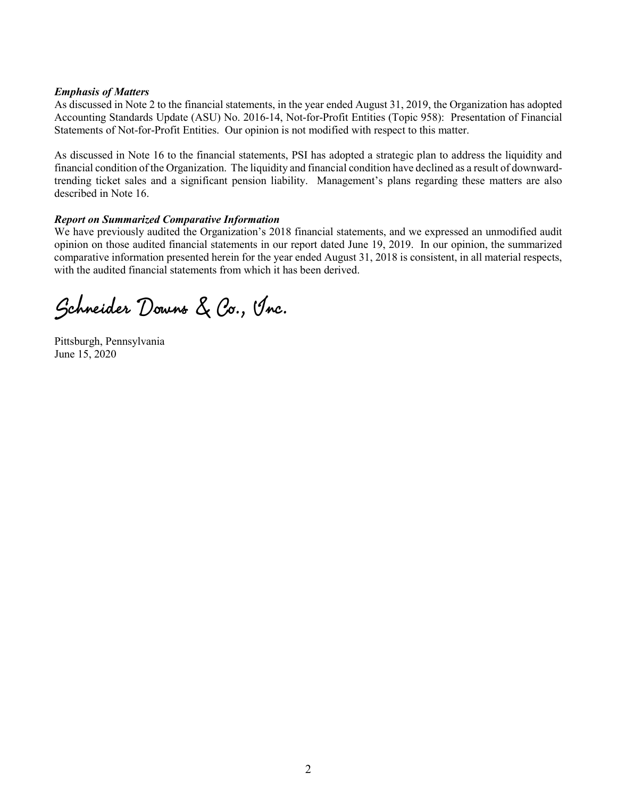#### *Emphasis of Matters*

As discussed in Note 2 to the financial statements, in the year ended August 31, 2019, the Organization has adopted Accounting Standards Update (ASU) No. 2016-14, Not-for-Profit Entities (Topic 958): Presentation of Financial Statements of Not-for-Profit Entities. Our opinion is not modified with respect to this matter.

As discussed in Note 16 to the financial statements, PSI has adopted a strategic plan to address the liquidity and financial condition of the Organization. The liquidity and financial condition have declined as a result of downwardtrending ticket sales and a significant pension liability. Management's plans regarding these matters are also described in Note 16.

### *Report on Summarized Comparative Information*

We have previously audited the Organization's 2018 financial statements, and we expressed an unmodified audit opinion on those audited financial statements in our report dated June 19, 2019. In our opinion, the summarized comparative information presented herein for the year ended August 31, 2018 is consistent, in all material respects, with the audited financial statements from which it has been derived.

Schneider Downs & Co., Inc.

Pittsburgh, Pennsylvania June 15, 2020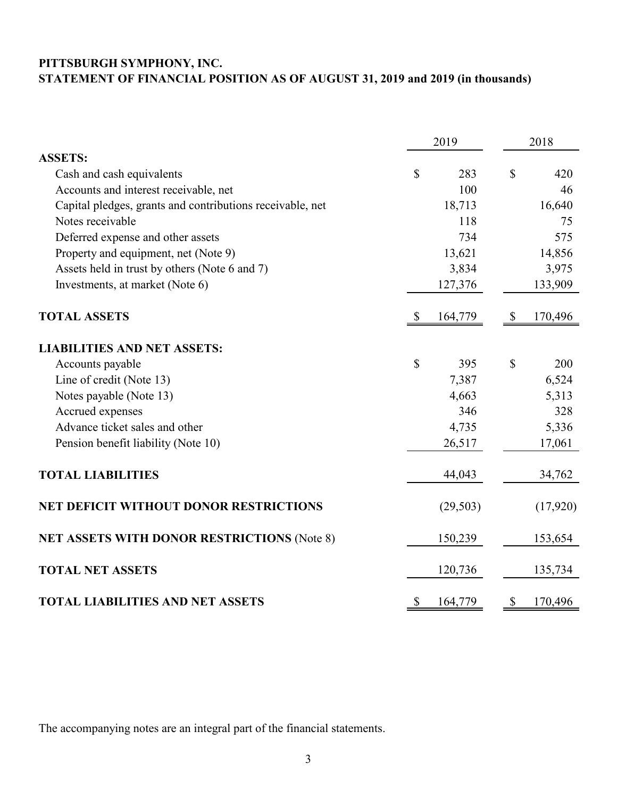# **PITTSBURGH SYMPHONY, INC. STATEMENT OF FINANCIAL POSITION AS OF AUGUST 31, 2019 and 2019 (in thousands)**

|                                                           |                           | 2019      |                           | 2018     |
|-----------------------------------------------------------|---------------------------|-----------|---------------------------|----------|
| <b>ASSETS:</b>                                            |                           |           |                           |          |
| Cash and cash equivalents                                 | \$                        | 283       | $\mathcal{S}$             | 420      |
| Accounts and interest receivable, net                     |                           | 100       |                           | 46       |
| Capital pledges, grants and contributions receivable, net |                           | 18,713    |                           | 16,640   |
| Notes receivable                                          |                           | 118       |                           | 75       |
| Deferred expense and other assets                         |                           | 734       |                           | 575      |
| Property and equipment, net (Note 9)                      |                           | 13,621    |                           | 14,856   |
| Assets held in trust by others (Note 6 and 7)             |                           | 3,834     |                           | 3,975    |
| Investments, at market (Note 6)                           |                           | 127,376   |                           | 133,909  |
| <b>TOTAL ASSETS</b>                                       | $\boldsymbol{\mathsf{S}}$ | 164,779   | $\boldsymbol{\mathsf{S}}$ | 170,496  |
| <b>LIABILITIES AND NET ASSETS:</b>                        |                           |           |                           |          |
| Accounts payable                                          | \$                        | 395       | \$                        | 200      |
| Line of credit (Note 13)                                  |                           | 7,387     |                           | 6,524    |
| Notes payable (Note 13)                                   |                           | 4,663     |                           | 5,313    |
| Accrued expenses                                          |                           | 346       |                           | 328      |
| Advance ticket sales and other                            |                           | 4,735     |                           | 5,336    |
| Pension benefit liability (Note 10)                       |                           | 26,517    |                           | 17,061   |
| <b>TOTAL LIABILITIES</b>                                  |                           | 44,043    |                           | 34,762   |
| <b>NET DEFICIT WITHOUT DONOR RESTRICTIONS</b>             |                           | (29, 503) |                           | (17,920) |
| NET ASSETS WITH DONOR RESTRICTIONS (Note 8)               |                           | 150,239   |                           | 153,654  |
| <b>TOTAL NET ASSETS</b>                                   |                           | 120,736   |                           | 135,734  |
| <b>TOTAL LIABILITIES AND NET ASSETS</b>                   | $\mathcal{S}$             | 164,779   | $\boldsymbol{\mathsf{S}}$ | 170,496  |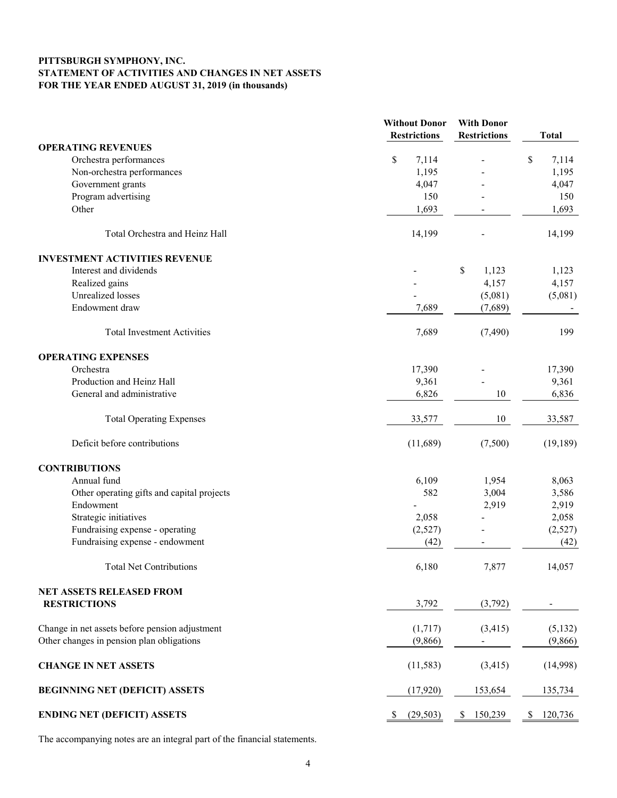#### **PITTSBURGH SYMPHONY, INC. STATEMENT OF ACTIVITIES AND CHANGES IN NET ASSETS FOR THE YEAR ENDED AUGUST 31, 2019 (in thousands)**

|                                                | <b>Without Donor</b> | <b>With Donor</b>   |               |
|------------------------------------------------|----------------------|---------------------|---------------|
|                                                | <b>Restrictions</b>  | <b>Restrictions</b> | <b>Total</b>  |
| <b>OPERATING REVENUES</b>                      |                      |                     |               |
| Orchestra performances                         | \$<br>7,114          |                     | \$<br>7,114   |
| Non-orchestra performances                     | 1,195                |                     | 1,195         |
| Government grants                              | 4,047                |                     | 4,047         |
| Program advertising                            | 150                  |                     | 150           |
| Other                                          | 1,693                |                     | 1,693         |
| Total Orchestra and Heinz Hall                 | 14,199               |                     | 14,199        |
| <b>INVESTMENT ACTIVITIES REVENUE</b>           |                      |                     |               |
| Interest and dividends                         |                      | \$<br>1,123         | 1,123         |
| Realized gains                                 |                      | 4,157               | 4,157         |
| <b>Unrealized</b> losses                       |                      | (5,081)             | (5,081)       |
| Endowment draw                                 | 7,689                | (7,689)             |               |
| <b>Total Investment Activities</b>             | 7,689                | (7, 490)            | 199           |
| <b>OPERATING EXPENSES</b>                      |                      |                     |               |
| Orchestra                                      | 17,390               |                     | 17,390        |
| Production and Heinz Hall                      | 9,361                |                     | 9,361         |
| General and administrative                     | 6,826                | 10                  | 6,836         |
| <b>Total Operating Expenses</b>                | 33,577               | 10                  | 33,587        |
| Deficit before contributions                   | (11,689)             | (7,500)             | (19, 189)     |
| <b>CONTRIBUTIONS</b>                           |                      |                     |               |
| Annual fund                                    | 6,109                | 1,954               | 8,063         |
| Other operating gifts and capital projects     | 582                  | 3,004               | 3,586         |
| Endowment                                      |                      | 2,919               | 2,919         |
| Strategic initiatives                          | 2,058                |                     | 2,058         |
| Fundraising expense - operating                | (2,527)              |                     | (2,527)       |
| Fundraising expense - endowment                | (42)                 |                     | (42)          |
| Total Net Contributions                        | 6,180                | 7,877               | 14,057        |
| NET ASSETS RELEASED FROM                       |                      |                     |               |
| <b>RESTRICTIONS</b>                            | 3,792                | (3,792)             |               |
| Change in net assets before pension adjustment | (1,717)              | (3, 415)            | (5, 132)      |
| Other changes in pension plan obligations      | (9,866)              |                     | (9,866)       |
| <b>CHANGE IN NET ASSETS</b>                    | (11, 583)            | (3, 415)            | (14,998)      |
| <b>BEGINNING NET (DEFICIT) ASSETS</b>          | (17,920)             | 153,654             | 135,734       |
| <b>ENDING NET (DEFICIT) ASSETS</b>             | (29, 503)            | 150,239<br>\$       | 120,736<br>\$ |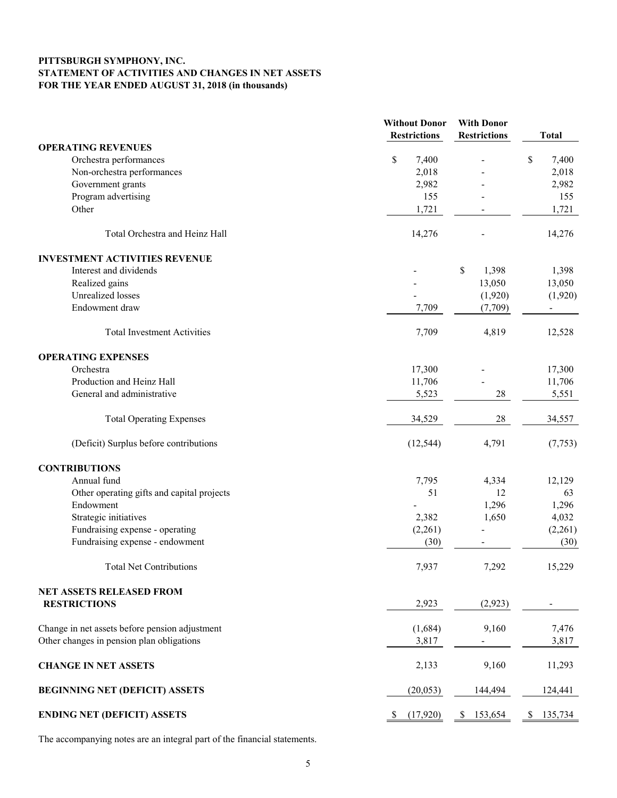#### **PITTSBURGH SYMPHONY, INC. STATEMENT OF ACTIVITIES AND CHANGES IN NET ASSETS FOR THE YEAR ENDED AUGUST 31, 2018 (in thousands)**

|                                                | <b>Without Donor</b> | <b>With Donor</b>      |                |
|------------------------------------------------|----------------------|------------------------|----------------|
|                                                | <b>Restrictions</b>  | <b>Restrictions</b>    | <b>Total</b>   |
| <b>OPERATING REVENUES</b>                      |                      |                        |                |
| Orchestra performances                         | \$<br>7,400          | $\blacksquare$         | \$<br>7,400    |
| Non-orchestra performances                     | 2,018                |                        | 2,018          |
| Government grants                              | 2,982                |                        | 2,982          |
| Program advertising                            | 155                  |                        | 155            |
| Other                                          | 1,721                |                        | 1,721          |
|                                                |                      |                        |                |
| Total Orchestra and Heinz Hall                 | 14,276               |                        | 14,276         |
| <b>INVESTMENT ACTIVITIES REVENUE</b>           |                      |                        |                |
| Interest and dividends                         |                      | $\mathcal{S}$<br>1,398 | 1,398          |
| Realized gains                                 |                      | 13,050                 | 13,050         |
| <b>Unrealized</b> losses                       |                      | (1,920)                | (1,920)        |
| Endowment draw                                 | 7,709                | (7,709)                | $\blacksquare$ |
| <b>Total Investment Activities</b>             | 7,709                | 4,819                  | 12,528         |
| <b>OPERATING EXPENSES</b>                      |                      |                        |                |
| Orchestra                                      | 17,300               |                        | 17,300         |
| Production and Heinz Hall                      | 11,706               |                        | 11,706         |
| General and administrative                     | 5,523                | 28                     | 5,551          |
| <b>Total Operating Expenses</b>                | 34,529               | 28                     | 34,557         |
| (Deficit) Surplus before contributions         | (12, 544)            | 4,791                  | (7, 753)       |
| <b>CONTRIBUTIONS</b>                           |                      |                        |                |
| Annual fund                                    | 7,795                | 4,334                  | 12,129         |
| Other operating gifts and capital projects     | 51                   | 12                     | 63             |
| Endowment                                      |                      | 1,296                  | 1,296          |
| Strategic initiatives                          | 2,382                | 1,650                  | 4,032          |
| Fundraising expense - operating                | (2,261)              |                        | (2,261)        |
| Fundraising expense - endowment                | (30)                 |                        | (30)           |
| <b>Total Net Contributions</b>                 | 7,937                | 7,292                  | 15,229         |
|                                                |                      |                        |                |
| NET ASSETS RELEASED FROM                       |                      |                        |                |
| <b>RESTRICTIONS</b>                            | 2,923                | (2,923)                |                |
| Change in net assets before pension adjustment | (1,684)              | 9,160                  | 7,476          |
| Other changes in pension plan obligations      | 3,817                |                        | 3,817          |
| <b>CHANGE IN NET ASSETS</b>                    | 2,133                | 9,160                  | 11,293         |
| <b>BEGINNING NET (DEFICIT) ASSETS</b>          | (20, 053)            | 144,494                | 124,441        |
| <b>ENDING NET (DEFICIT) ASSETS</b>             | (17,920)<br>\$       | 153,654<br>S.          | \$<br>135,734  |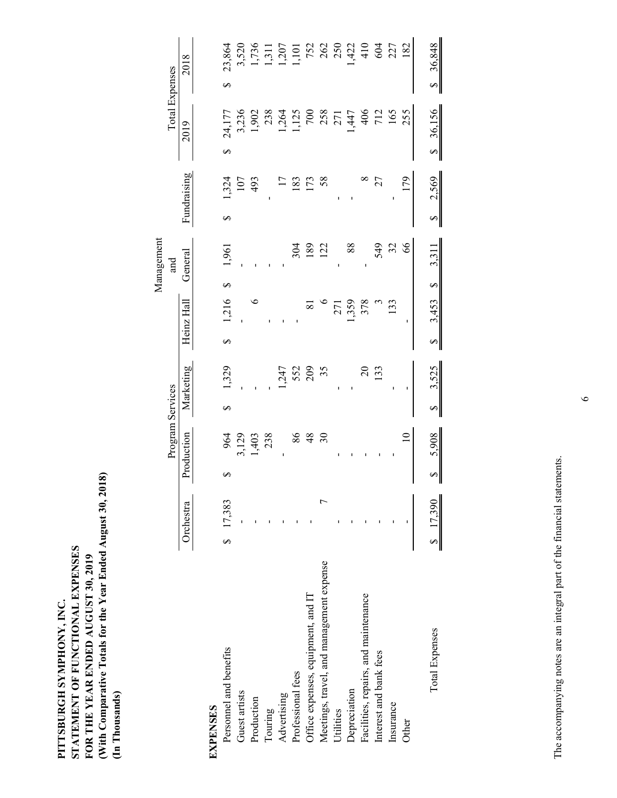|                                          |           |                |                     |                | Management         |                                |                             |                                           |
|------------------------------------------|-----------|----------------|---------------------|----------------|--------------------|--------------------------------|-----------------------------|-------------------------------------------|
|                                          |           |                | Program Services    |                | and                |                                |                             | <b>Total Expenses</b>                     |
|                                          | Orchestra | Production     | Marketing           | Heinz Hall     | General            | Fundraising                    | 2019                        | 2018                                      |
| <b>EXPENSES</b>                          |           |                |                     |                |                    |                                |                             |                                           |
| Personnel and benefits                   | \$17,383  | 964<br>∽       | 1,329<br>∽          | 1,216<br>∽     | 1,961<br>S         | 1,324<br>∽                     | 24,177<br>S                 | 23,864<br>S                               |
| Guest artists                            |           |                |                     |                |                    | 107                            |                             |                                           |
| Production                               |           | 3,129<br>1,403 |                     | $\circ$        |                    | 493                            | 3,236<br>1,902              | 3,520<br>1,736<br>1,311<br>1,101<br>1,101 |
| Touring                                  |           | 238            |                     |                |                    |                                | 238                         |                                           |
| Advertising                              |           |                |                     |                |                    |                                | 1,264                       |                                           |
| Professional fees                        |           | 86             | 1,247<br>552<br>209 |                | 304                | 183                            | 1,125                       |                                           |
| Office expenses, equipment, and IT       |           | $rac{48}{30}$  |                     | $\overline{8}$ | 189                | 173                            |                             |                                           |
| Meetings, travel, and management expense |           |                | 35                  |                | 122                | 58                             |                             | 752<br>262<br>250                         |
| Utilities                                |           |                |                     | 271            |                    |                                | 258<br>271                  |                                           |
| Depreciation                             |           |                |                     | ,359           | 88                 |                                | 1,447                       | 1,422                                     |
| Facilities, repairs, and maintenance     |           |                | $20\,$              | 378            | $\mathbf{I}$       |                                | 406                         | 410                                       |
| Interest and bank fees                   |           |                | 133                 |                | 549                | 27                             | 712                         | 604                                       |
| Insurance                                |           |                |                     | 133            | 32                 |                                | 165                         | 227                                       |
| Other                                    |           |                |                     |                | $\delta$           | 179                            | 255                         | 182                                       |
| Total Expenses                           | \$17,390  | 5,908<br>↮     | 3,525<br>Ø          | 3,453<br>S     | 3,311<br>$\varphi$ | 2,569<br>$\boldsymbol{\Theta}$ | 36,156<br>$\leftrightarrow$ | \$36,848                                  |

**PITTSBURGH SYMPHONY, INC.**

PITTSBURGH SYMPHONY, INC.

**STATEMENT OF FUNCTIONAL EXPENSES FOR THE YEAR ENDED AUGUST 30, 2019** 

STATEMENT OF FUNCTIONAL EXPENSES FOR THE YEAR ENDED AUGUST 30, 2019 **(With Comparative Totals for the Year Ended August 30, 2018)**

(With Comparative Totals for the Year Ended August 30, 2018)

**(In Thousands)**

(In Thousands)

The accompanying notes are an integral part of the financial statements. The accompanying notes are an integral part of the financial statements.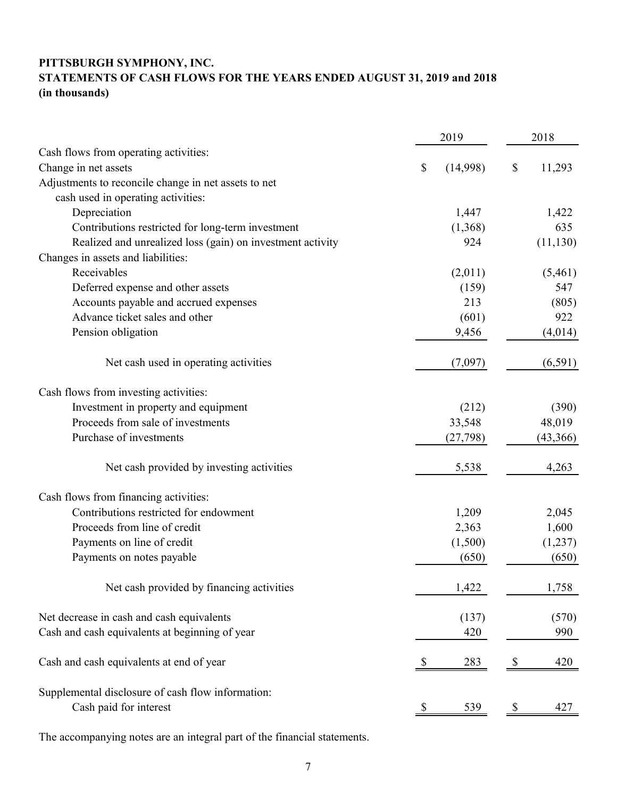# **PITTSBURGH SYMPHONY, INC. STATEMENTS OF CASH FLOWS FOR THE YEARS ENDED AUGUST 31, 2019 and 2018 (in thousands)**

|                                                            |                           | 2019       |    | 2018      |
|------------------------------------------------------------|---------------------------|------------|----|-----------|
| Cash flows from operating activities:                      |                           |            |    |           |
| Change in net assets                                       | $\boldsymbol{\mathsf{S}}$ | (14,998)   | \$ | 11,293    |
| Adjustments to reconcile change in net assets to net       |                           |            |    |           |
| cash used in operating activities:                         |                           |            |    |           |
| Depreciation                                               |                           | 1,447      |    | 1,422     |
| Contributions restricted for long-term investment          |                           | (1,368)    |    | 635       |
| Realized and unrealized loss (gain) on investment activity |                           | 924        |    | (11, 130) |
| Changes in assets and liabilities:                         |                           |            |    |           |
| Receivables                                                |                           | (2,011)    |    | (5,461)   |
| Deferred expense and other assets                          |                           | (159)      |    | 547       |
| Accounts payable and accrued expenses                      |                           | 213        |    | (805)     |
| Advance ticket sales and other                             |                           | (601)      |    | 922       |
| Pension obligation                                         |                           | 9,456      |    | (4,014)   |
| Net cash used in operating activities                      |                           | (7,097)    |    | (6, 591)  |
| Cash flows from investing activities:                      |                           |            |    |           |
| Investment in property and equipment                       |                           | (212)      |    | (390)     |
| Proceeds from sale of investments                          |                           | 33,548     |    | 48,019    |
| Purchase of investments                                    |                           | (27, 798)  |    | (43,366)  |
| Net cash provided by investing activities                  |                           | 5,538      |    | 4,263     |
| Cash flows from financing activities:                      |                           |            |    |           |
| Contributions restricted for endowment                     |                           | 1,209      |    | 2,045     |
| Proceeds from line of credit                               |                           | 2,363      |    | 1,600     |
| Payments on line of credit                                 |                           | (1,500)    |    | (1,237)   |
| Payments on notes payable                                  |                           | (650)      |    | (650)     |
| Net cash provided by financing activities                  |                           | 1,422      |    | 1,758     |
| Net decrease in cash and cash equivalents                  |                           | (137)      |    | (570)     |
| Cash and cash equivalents at beginning of year             |                           | 420        |    | 990       |
| Cash and cash equivalents at end of year                   |                           | 283        | \$ | 420       |
| Supplemental disclosure of cash flow information:          |                           |            |    |           |
| Cash paid for interest                                     | <sup>2</sup>              | <u>539</u> | S, | 427       |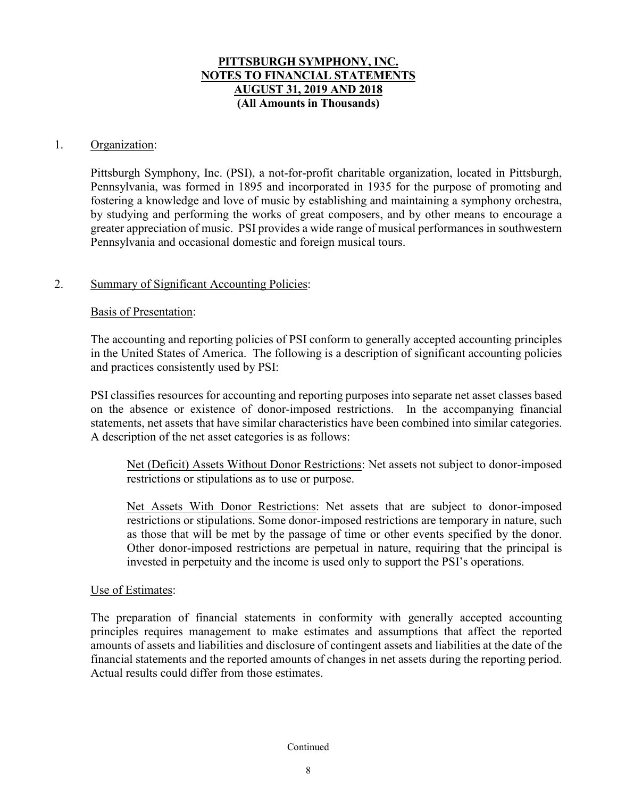### 1. Organization:

Pittsburgh Symphony, Inc. (PSI), a not-for-profit charitable organization, located in Pittsburgh, Pennsylvania, was formed in 1895 and incorporated in 1935 for the purpose of promoting and fostering a knowledge and love of music by establishing and maintaining a symphony orchestra, by studying and performing the works of great composers, and by other means to encourage a greater appreciation of music. PSI provides a wide range of musical performances in southwestern Pennsylvania and occasional domestic and foreign musical tours.

### 2. Summary of Significant Accounting Policies:

### Basis of Presentation:

The accounting and reporting policies of PSI conform to generally accepted accounting principles in the United States of America. The following is a description of significant accounting policies and practices consistently used by PSI:

PSI classifies resources for accounting and reporting purposes into separate net asset classes based on the absence or existence of donor-imposed restrictions. In the accompanying financial statements, net assets that have similar characteristics have been combined into similar categories. A description of the net asset categories is as follows:

Net (Deficit) Assets Without Donor Restrictions: Net assets not subject to donor-imposed restrictions or stipulations as to use or purpose.

Net Assets With Donor Restrictions: Net assets that are subject to donor-imposed restrictions or stipulations. Some donor-imposed restrictions are temporary in nature, such as those that will be met by the passage of time or other events specified by the donor. Other donor-imposed restrictions are perpetual in nature, requiring that the principal is invested in perpetuity and the income is used only to support the PSI's operations.

### Use of Estimates:

The preparation of financial statements in conformity with generally accepted accounting principles requires management to make estimates and assumptions that affect the reported amounts of assets and liabilities and disclosure of contingent assets and liabilities at the date of the financial statements and the reported amounts of changes in net assets during the reporting period. Actual results could differ from those estimates.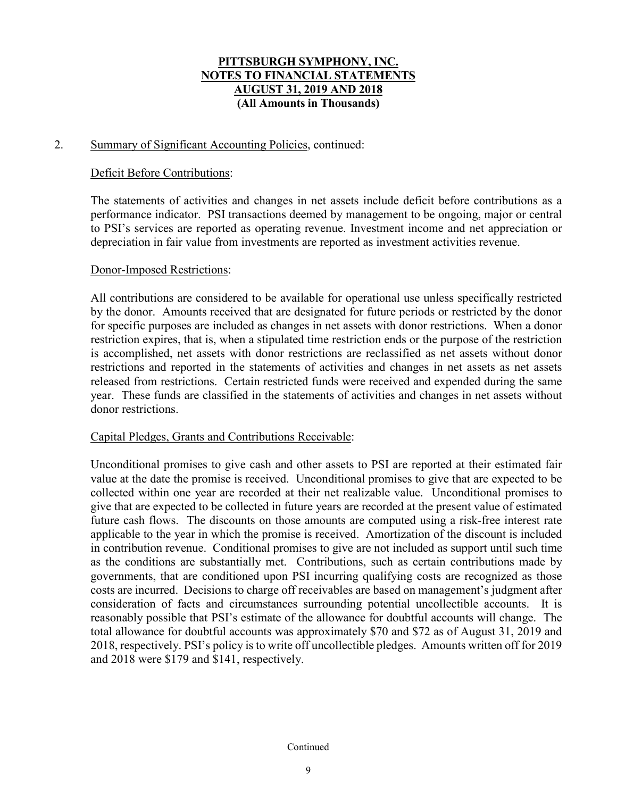### 2. Summary of Significant Accounting Policies, continued:

### Deficit Before Contributions:

The statements of activities and changes in net assets include deficit before contributions as a performance indicator. PSI transactions deemed by management to be ongoing, major or central to PSI's services are reported as operating revenue. Investment income and net appreciation or depreciation in fair value from investments are reported as investment activities revenue.

### Donor-Imposed Restrictions:

All contributions are considered to be available for operational use unless specifically restricted by the donor. Amounts received that are designated for future periods or restricted by the donor for specific purposes are included as changes in net assets with donor restrictions. When a donor restriction expires, that is, when a stipulated time restriction ends or the purpose of the restriction is accomplished, net assets with donor restrictions are reclassified as net assets without donor restrictions and reported in the statements of activities and changes in net assets as net assets released from restrictions. Certain restricted funds were received and expended during the same year. These funds are classified in the statements of activities and changes in net assets without donor restrictions.

#### Capital Pledges, Grants and Contributions Receivable:

Unconditional promises to give cash and other assets to PSI are reported at their estimated fair value at the date the promise is received. Unconditional promises to give that are expected to be collected within one year are recorded at their net realizable value. Unconditional promises to give that are expected to be collected in future years are recorded at the present value of estimated future cash flows. The discounts on those amounts are computed using a risk-free interest rate applicable to the year in which the promise is received. Amortization of the discount is included in contribution revenue. Conditional promises to give are not included as support until such time as the conditions are substantially met. Contributions, such as certain contributions made by governments, that are conditioned upon PSI incurring qualifying costs are recognized as those costs are incurred. Decisions to charge off receivables are based on management's judgment after consideration of facts and circumstances surrounding potential uncollectible accounts. It is reasonably possible that PSI's estimate of the allowance for doubtful accounts will change. The total allowance for doubtful accounts was approximately \$70 and \$72 as of August 31, 2019 and 2018, respectively. PSI's policy is to write off uncollectible pledges. Amounts written off for 2019 and 2018 were \$179 and \$141, respectively.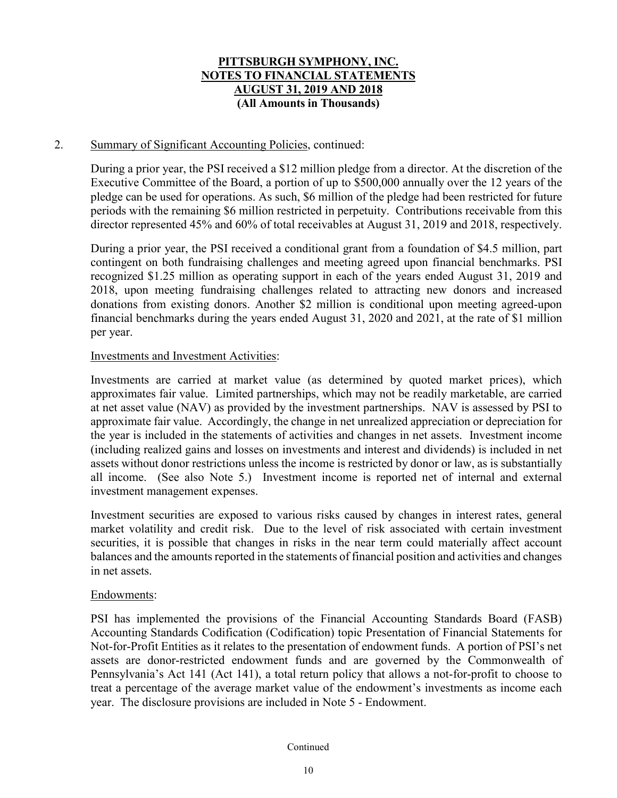### 2. Summary of Significant Accounting Policies, continued:

During a prior year, the PSI received a \$12 million pledge from a director. At the discretion of the Executive Committee of the Board, a portion of up to \$500,000 annually over the 12 years of the pledge can be used for operations. As such, \$6 million of the pledge had been restricted for future periods with the remaining \$6 million restricted in perpetuity. Contributions receivable from this director represented 45% and 60% of total receivables at August 31, 2019 and 2018, respectively.

During a prior year, the PSI received a conditional grant from a foundation of \$4.5 million, part contingent on both fundraising challenges and meeting agreed upon financial benchmarks. PSI recognized \$1.25 million as operating support in each of the years ended August 31, 2019 and 2018, upon meeting fundraising challenges related to attracting new donors and increased donations from existing donors. Another \$2 million is conditional upon meeting agreed-upon financial benchmarks during the years ended August 31, 2020 and 2021, at the rate of \$1 million per year.

### Investments and Investment Activities:

Investments are carried at market value (as determined by quoted market prices), which approximates fair value. Limited partnerships, which may not be readily marketable, are carried at net asset value (NAV) as provided by the investment partnerships. NAV is assessed by PSI to approximate fair value. Accordingly, the change in net unrealized appreciation or depreciation for the year is included in the statements of activities and changes in net assets. Investment income (including realized gains and losses on investments and interest and dividends) is included in net assets without donor restrictions unless the income is restricted by donor or law, as is substantially all income. (See also Note 5.) Investment income is reported net of internal and external investment management expenses.

Investment securities are exposed to various risks caused by changes in interest rates, general market volatility and credit risk. Due to the level of risk associated with certain investment securities, it is possible that changes in risks in the near term could materially affect account balances and the amounts reported in the statements of financial position and activities and changes in net assets.

#### Endowments:

PSI has implemented the provisions of the Financial Accounting Standards Board (FASB) Accounting Standards Codification (Codification) topic Presentation of Financial Statements for Not-for-Profit Entities as it relates to the presentation of endowment funds. A portion of PSI's net assets are donor-restricted endowment funds and are governed by the Commonwealth of Pennsylvania's Act 141 (Act 141), a total return policy that allows a not-for-profit to choose to treat a percentage of the average market value of the endowment's investments as income each year. The disclosure provisions are included in Note 5 - Endowment.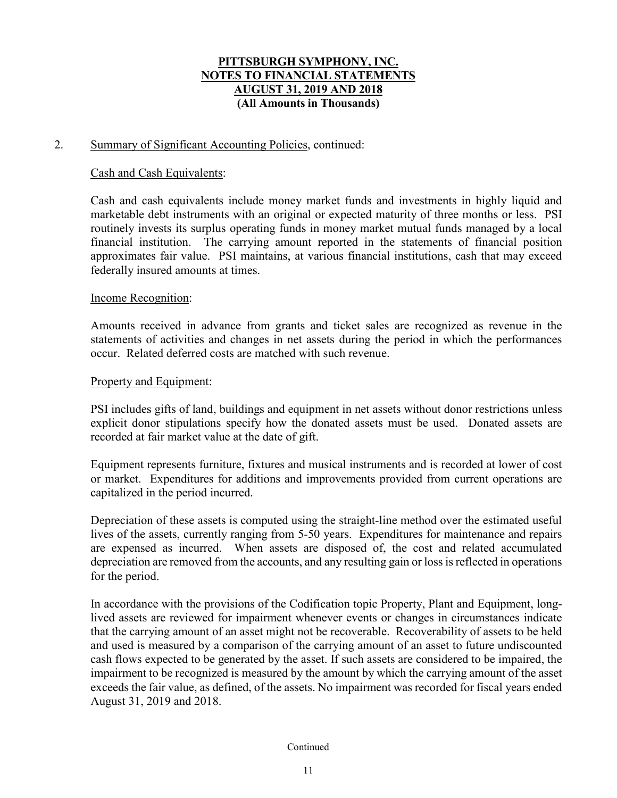### 2. Summary of Significant Accounting Policies, continued:

### Cash and Cash Equivalents:

Cash and cash equivalents include money market funds and investments in highly liquid and marketable debt instruments with an original or expected maturity of three months or less. PSI routinely invests its surplus operating funds in money market mutual funds managed by a local financial institution. The carrying amount reported in the statements of financial position approximates fair value. PSI maintains, at various financial institutions, cash that may exceed federally insured amounts at times.

### Income Recognition:

Amounts received in advance from grants and ticket sales are recognized as revenue in the statements of activities and changes in net assets during the period in which the performances occur. Related deferred costs are matched with such revenue.

### Property and Equipment:

PSI includes gifts of land, buildings and equipment in net assets without donor restrictions unless explicit donor stipulations specify how the donated assets must be used. Donated assets are recorded at fair market value at the date of gift.

Equipment represents furniture, fixtures and musical instruments and is recorded at lower of cost or market. Expenditures for additions and improvements provided from current operations are capitalized in the period incurred.

Depreciation of these assets is computed using the straight-line method over the estimated useful lives of the assets, currently ranging from 5-50 years. Expenditures for maintenance and repairs are expensed as incurred. When assets are disposed of, the cost and related accumulated depreciation are removed from the accounts, and any resulting gain or loss is reflected in operations for the period.

In accordance with the provisions of the Codification topic Property, Plant and Equipment, longlived assets are reviewed for impairment whenever events or changes in circumstances indicate that the carrying amount of an asset might not be recoverable. Recoverability of assets to be held and used is measured by a comparison of the carrying amount of an asset to future undiscounted cash flows expected to be generated by the asset. If such assets are considered to be impaired, the impairment to be recognized is measured by the amount by which the carrying amount of the asset exceeds the fair value, as defined, of the assets. No impairment was recorded for fiscal years ended August 31, 2019 and 2018.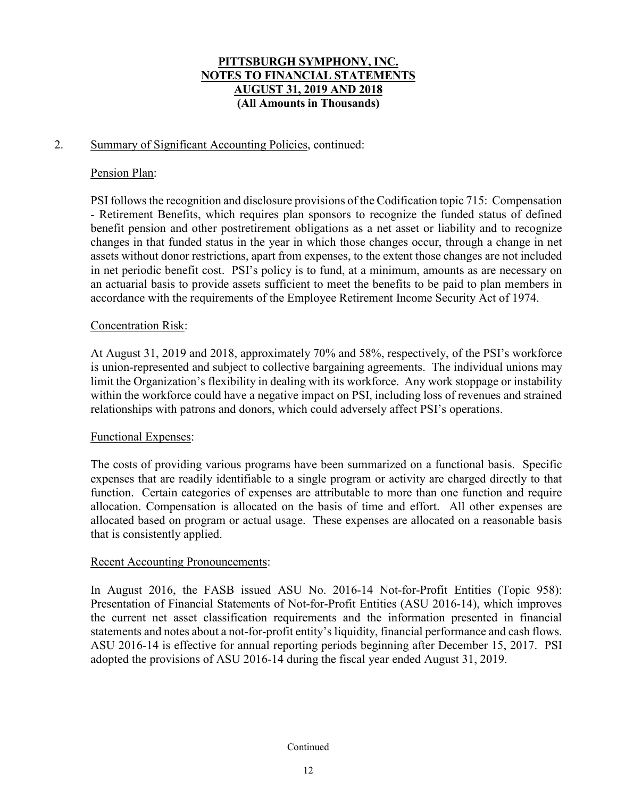### 2. Summary of Significant Accounting Policies, continued:

### Pension Plan:

PSI followsthe recognition and disclosure provisions of the Codification topic 715: Compensation - Retirement Benefits, which requires plan sponsors to recognize the funded status of defined benefit pension and other postretirement obligations as a net asset or liability and to recognize changes in that funded status in the year in which those changes occur, through a change in net assets without donor restrictions, apart from expenses, to the extent those changes are not included in net periodic benefit cost. PSI's policy is to fund, at a minimum, amounts as are necessary on an actuarial basis to provide assets sufficient to meet the benefits to be paid to plan members in accordance with the requirements of the Employee Retirement Income Security Act of 1974.

## Concentration Risk:

At August 31, 2019 and 2018, approximately 70% and 58%, respectively, of the PSI's workforce is union-represented and subject to collective bargaining agreements. The individual unions may limit the Organization's flexibility in dealing with its workforce. Any work stoppage or instability within the workforce could have a negative impact on PSI, including loss of revenues and strained relationships with patrons and donors, which could adversely affect PSI's operations.

### Functional Expenses:

The costs of providing various programs have been summarized on a functional basis. Specific expenses that are readily identifiable to a single program or activity are charged directly to that function. Certain categories of expenses are attributable to more than one function and require allocation. Compensation is allocated on the basis of time and effort. All other expenses are allocated based on program or actual usage. These expenses are allocated on a reasonable basis that is consistently applied.

### Recent Accounting Pronouncements:

In August 2016, the FASB issued ASU No. 2016-14 Not-for-Profit Entities (Topic 958): Presentation of Financial Statements of Not-for-Profit Entities (ASU 2016-14), which improves the current net asset classification requirements and the information presented in financial statements and notes about a not-for-profit entity's liquidity, financial performance and cash flows. ASU 2016-14 is effective for annual reporting periods beginning after December 15, 2017. PSI adopted the provisions of ASU 2016-14 during the fiscal year ended August 31, 2019.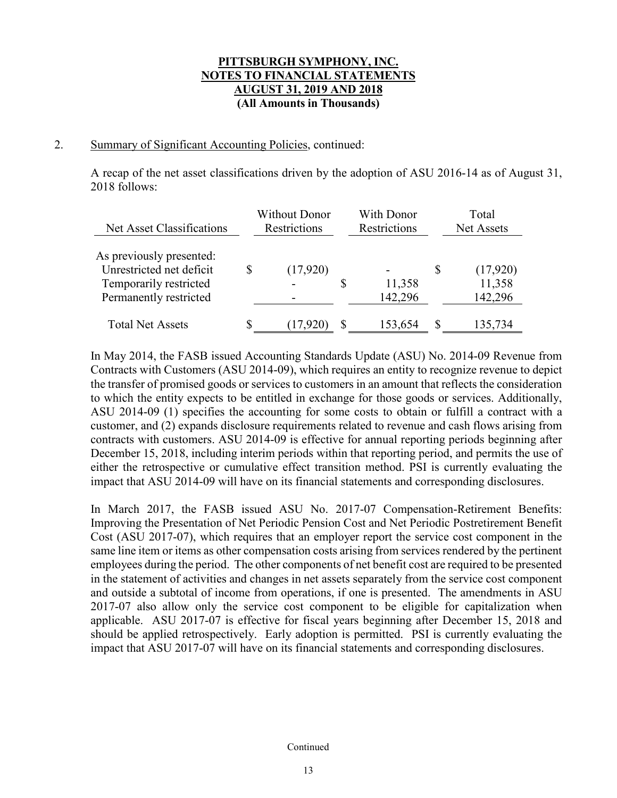### 2. Summary of Significant Accounting Policies, continued:

A recap of the net asset classifications driven by the adoption of ASU 2016-14 as of August 31, 2018 follows:

| Net Asset Classifications                            | <b>Without Donor</b><br>Restrictions | <b>With Donor</b><br>Restrictions |   | Total<br><b>Net Assets</b> |
|------------------------------------------------------|--------------------------------------|-----------------------------------|---|----------------------------|
| As previously presented:<br>Unrestricted net deficit | \$<br>(17,920)                       |                                   | S | (17,920)                   |
| Temporarily restricted<br>Permanently restricted     |                                      | 11,358<br>142,296                 |   | 11,358<br>142,296          |
| <b>Total Net Assets</b>                              | (17,920                              | 153,654                           | S | 135,734                    |

In May 2014, the FASB issued Accounting Standards Update (ASU) No. 2014-09 Revenue from Contracts with Customers (ASU 2014-09), which requires an entity to recognize revenue to depict the transfer of promised goods or services to customers in an amount that reflects the consideration to which the entity expects to be entitled in exchange for those goods or services. Additionally, ASU 2014-09 (1) specifies the accounting for some costs to obtain or fulfill a contract with a customer, and (2) expands disclosure requirements related to revenue and cash flows arising from contracts with customers. ASU 2014-09 is effective for annual reporting periods beginning after December 15, 2018, including interim periods within that reporting period, and permits the use of either the retrospective or cumulative effect transition method. PSI is currently evaluating the impact that ASU 2014-09 will have on its financial statements and corresponding disclosures.

In March 2017, the FASB issued ASU No. 2017-07 Compensation-Retirement Benefits: Improving the Presentation of Net Periodic Pension Cost and Net Periodic Postretirement Benefit Cost (ASU 2017-07), which requires that an employer report the service cost component in the same line item or items as other compensation costs arising from services rendered by the pertinent employees during the period. The other components of net benefit cost are required to be presented in the statement of activities and changes in net assets separately from the service cost component and outside a subtotal of income from operations, if one is presented. The amendments in ASU 2017-07 also allow only the service cost component to be eligible for capitalization when applicable. ASU 2017-07 is effective for fiscal years beginning after December 15, 2018 and should be applied retrospectively. Early adoption is permitted. PSI is currently evaluating the impact that ASU 2017-07 will have on its financial statements and corresponding disclosures.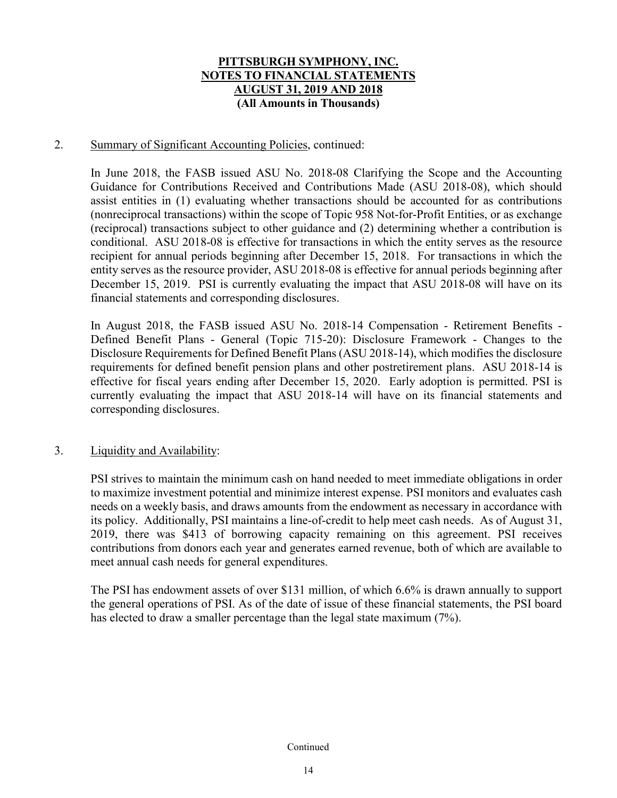### 2. Summary of Significant Accounting Policies, continued:

In June 2018, the FASB issued ASU No. 2018-08 Clarifying the Scope and the Accounting Guidance for Contributions Received and Contributions Made (ASU 2018-08), which should assist entities in (1) evaluating whether transactions should be accounted for as contributions (nonreciprocal transactions) within the scope of Topic 958 Not-for-Profit Entities, or as exchange (reciprocal) transactions subject to other guidance and (2) determining whether a contribution is conditional. ASU 2018-08 is effective for transactions in which the entity serves as the resource recipient for annual periods beginning after December 15, 2018. For transactions in which the entity serves as the resource provider, ASU 2018-08 is effective for annual periods beginning after December 15, 2019. PSI is currently evaluating the impact that ASU 2018-08 will have on its financial statements and corresponding disclosures.

In August 2018, the FASB issued ASU No. 2018-14 Compensation - Retirement Benefits - Defined Benefit Plans - General (Topic 715-20): Disclosure Framework - Changes to the Disclosure Requirements for Defined Benefit Plans (ASU 2018-14), which modifies the disclosure requirements for defined benefit pension plans and other postretirement plans. ASU 2018-14 is effective for fiscal years ending after December 15, 2020. Early adoption is permitted. PSI is currently evaluating the impact that ASU 2018-14 will have on its financial statements and corresponding disclosures.

### 3. Liquidity and Availability:

PSI strives to maintain the minimum cash on hand needed to meet immediate obligations in order to maximize investment potential and minimize interest expense. PSI monitors and evaluates cash needs on a weekly basis, and draws amounts from the endowment as necessary in accordance with its policy. Additionally, PSI maintains a line-of-credit to help meet cash needs. As of August 31, 2019, there was \$413 of borrowing capacity remaining on this agreement. PSI receives contributions from donors each year and generates earned revenue, both of which are available to meet annual cash needs for general expenditures.

The PSI has endowment assets of over \$131 million, of which 6.6% is drawn annually to support the general operations of PSI. As of the date of issue of these financial statements, the PSI board has elected to draw a smaller percentage than the legal state maximum (7%).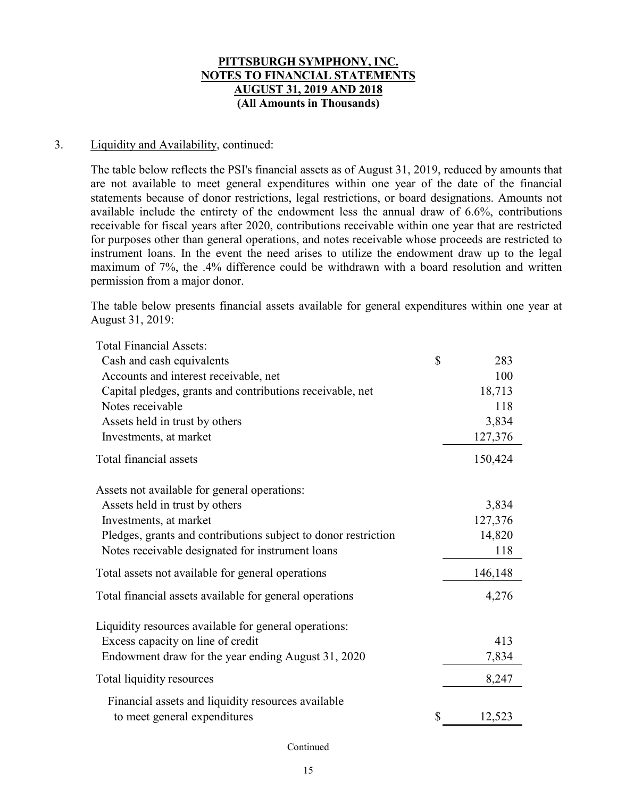### 3. Liquidity and Availability, continued:

The table below reflects the PSI's financial assets as of August 31, 2019, reduced by amounts that are not available to meet general expenditures within one year of the date of the financial statements because of donor restrictions, legal restrictions, or board designations. Amounts not available include the entirety of the endowment less the annual draw of 6.6%, contributions receivable for fiscal years after 2020, contributions receivable within one year that are restricted for purposes other than general operations, and notes receivable whose proceeds are restricted to instrument loans. In the event the need arises to utilize the endowment draw up to the legal maximum of 7%, the .4% difference could be withdrawn with a board resolution and written permission from a major donor.

The table below presents financial assets available for general expenditures within one year at August 31, 2019:

| <b>Total Financial Assets:</b>                                 |              |
|----------------------------------------------------------------|--------------|
| Cash and cash equivalents                                      | \$<br>283    |
| Accounts and interest receivable, net                          | 100          |
| Capital pledges, grants and contributions receivable, net      | 18,713       |
| Notes receivable                                               | 118          |
| Assets held in trust by others                                 | 3,834        |
| Investments, at market                                         | 127,376      |
| Total financial assets                                         | 150,424      |
| Assets not available for general operations:                   |              |
| Assets held in trust by others                                 | 3,834        |
| Investments, at market                                         | 127,376      |
| Pledges, grants and contributions subject to donor restriction | 14,820       |
| Notes receivable designated for instrument loans               | 118          |
| Total assets not available for general operations              | 146,148      |
| Total financial assets available for general operations        | 4,276        |
| Liquidity resources available for general operations:          |              |
| Excess capacity on line of credit                              | 413          |
| Endowment draw for the year ending August 31, 2020             | 7,834        |
| Total liquidity resources                                      | 8,247        |
| Financial assets and liquidity resources available             |              |
| to meet general expenditures                                   | \$<br>12,523 |
|                                                                |              |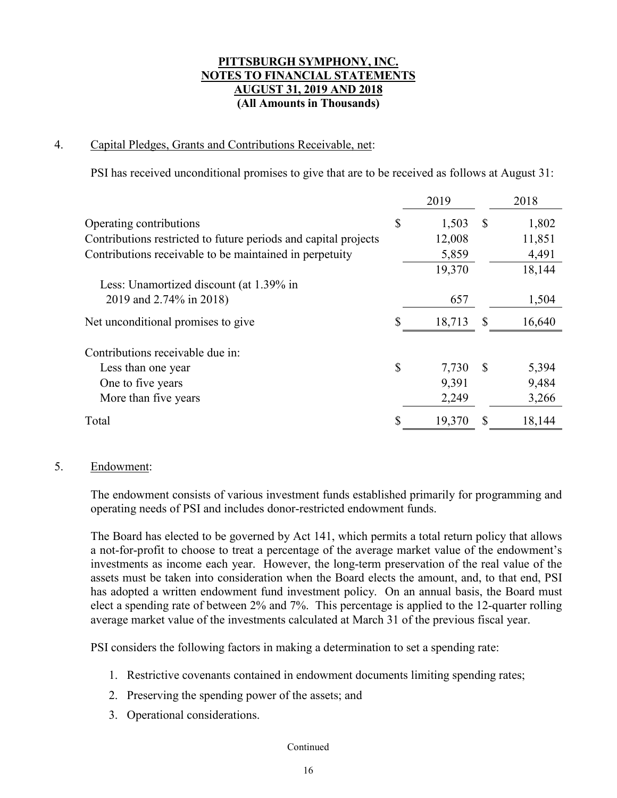## 4. Capital Pledges, Grants and Contributions Receivable, net:

PSI has received unconditional promises to give that are to be received as follows at August 31:

|                                                                 | 2019         |               | 2018   |
|-----------------------------------------------------------------|--------------|---------------|--------|
| Operating contributions                                         | \$<br>1,503  | $\mathbb{S}$  | 1,802  |
| Contributions restricted to future periods and capital projects | 12,008       |               | 11,851 |
| Contributions receivable to be maintained in perpetuity         | 5,859        |               | 4,491  |
|                                                                 | 19,370       |               | 18,144 |
| Less: Unamortized discount (at 1.39% in                         |              |               |        |
| 2019 and 2.74% in 2018)                                         | 657          |               | 1,504  |
| Net unconditional promises to give                              | 18,713       | S             | 16,640 |
| Contributions receivable due in:                                |              |               |        |
| Less than one year                                              | \$<br>7,730  | <sup>\$</sup> | 5,394  |
| One to five years                                               | 9,391        |               | 9,484  |
| More than five years                                            | 2,249        |               | 3,266  |
| Total                                                           | \$<br>19,370 |               | 18,144 |

## 5. Endowment:

The endowment consists of various investment funds established primarily for programming and operating needs of PSI and includes donor-restricted endowment funds.

The Board has elected to be governed by Act 141, which permits a total return policy that allows a not-for-profit to choose to treat a percentage of the average market value of the endowment's investments as income each year. However, the long-term preservation of the real value of the assets must be taken into consideration when the Board elects the amount, and, to that end, PSI has adopted a written endowment fund investment policy. On an annual basis, the Board must elect a spending rate of between 2% and 7%. This percentage is applied to the 12-quarter rolling average market value of the investments calculated at March 31 of the previous fiscal year.

PSI considers the following factors in making a determination to set a spending rate:

- 1. Restrictive covenants contained in endowment documents limiting spending rates;
- 2. Preserving the spending power of the assets; and
- 3. Operational considerations.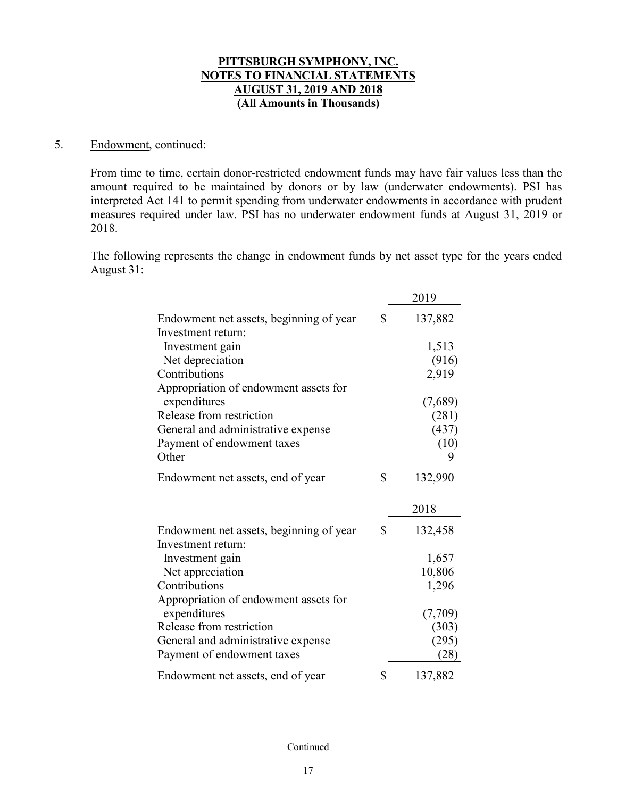#### 5. Endowment, continued:

From time to time, certain donor-restricted endowment funds may have fair values less than the amount required to be maintained by donors or by law (underwater endowments). PSI has interpreted Act 141 to permit spending from underwater endowments in accordance with prudent measures required under law. PSI has no underwater endowment funds at August 31, 2019 or 2018.

The following represents the change in endowment funds by net asset type for the years ended August 31:

|                                         | 2019          |
|-----------------------------------------|---------------|
| Endowment net assets, beginning of year | \$<br>137,882 |
| Investment return:                      |               |
| Investment gain                         | 1,513         |
| Net depreciation                        | (916)         |
| Contributions                           | 2,919         |
| Appropriation of endowment assets for   |               |
| expenditures                            | (7,689)       |
| Release from restriction                | (281)         |
| General and administrative expense      | (437)         |
| Payment of endowment taxes              | (10)          |
| Other                                   | 9             |
| Endowment net assets, end of year       | \$<br>132,990 |
|                                         | 2018          |
| Endowment net assets, beginning of year | \$<br>132,458 |
| Investment return:                      |               |
| Investment gain                         | 1,657         |
| Net appreciation                        | 10,806        |
| Contributions                           | 1,296         |
| Appropriation of endowment assets for   |               |
| expenditures                            | (7,709)       |
| Release from restriction                | (303)         |
| General and administrative expense      | (295)         |
| Payment of endowment taxes              | (28)          |
| Endowment net assets, end of year       | \$<br>137,882 |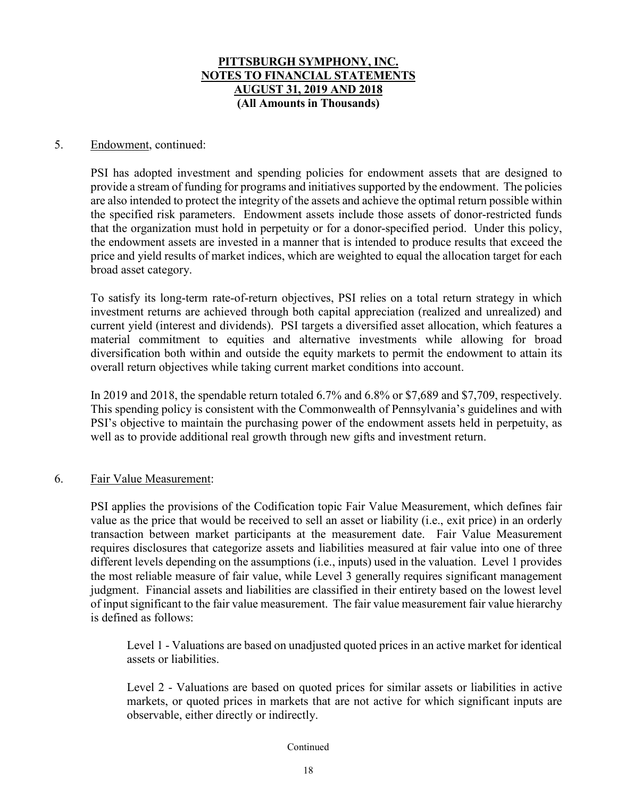### 5. Endowment, continued:

PSI has adopted investment and spending policies for endowment assets that are designed to provide a stream of funding for programs and initiatives supported by the endowment. The policies are also intended to protect the integrity of the assets and achieve the optimal return possible within the specified risk parameters. Endowment assets include those assets of donor-restricted funds that the organization must hold in perpetuity or for a donor-specified period. Under this policy, the endowment assets are invested in a manner that is intended to produce results that exceed the price and yield results of market indices, which are weighted to equal the allocation target for each broad asset category.

To satisfy its long-term rate-of-return objectives, PSI relies on a total return strategy in which investment returns are achieved through both capital appreciation (realized and unrealized) and current yield (interest and dividends). PSI targets a diversified asset allocation, which features a material commitment to equities and alternative investments while allowing for broad diversification both within and outside the equity markets to permit the endowment to attain its overall return objectives while taking current market conditions into account.

In 2019 and 2018, the spendable return totaled 6.7% and 6.8% or \$7,689 and \$7,709, respectively. This spending policy is consistent with the Commonwealth of Pennsylvania's guidelines and with PSI's objective to maintain the purchasing power of the endowment assets held in perpetuity, as well as to provide additional real growth through new gifts and investment return.

### 6. Fair Value Measurement:

PSI applies the provisions of the Codification topic Fair Value Measurement, which defines fair value as the price that would be received to sell an asset or liability (i.e., exit price) in an orderly transaction between market participants at the measurement date. Fair Value Measurement requires disclosures that categorize assets and liabilities measured at fair value into one of three different levels depending on the assumptions (i.e., inputs) used in the valuation. Level 1 provides the most reliable measure of fair value, while Level 3 generally requires significant management judgment. Financial assets and liabilities are classified in their entirety based on the lowest level of input significant to the fair value measurement. The fair value measurement fair value hierarchy is defined as follows:

Level 1 - Valuations are based on unadjusted quoted prices in an active market for identical assets or liabilities.

Level 2 - Valuations are based on quoted prices for similar assets or liabilities in active markets, or quoted prices in markets that are not active for which significant inputs are observable, either directly or indirectly.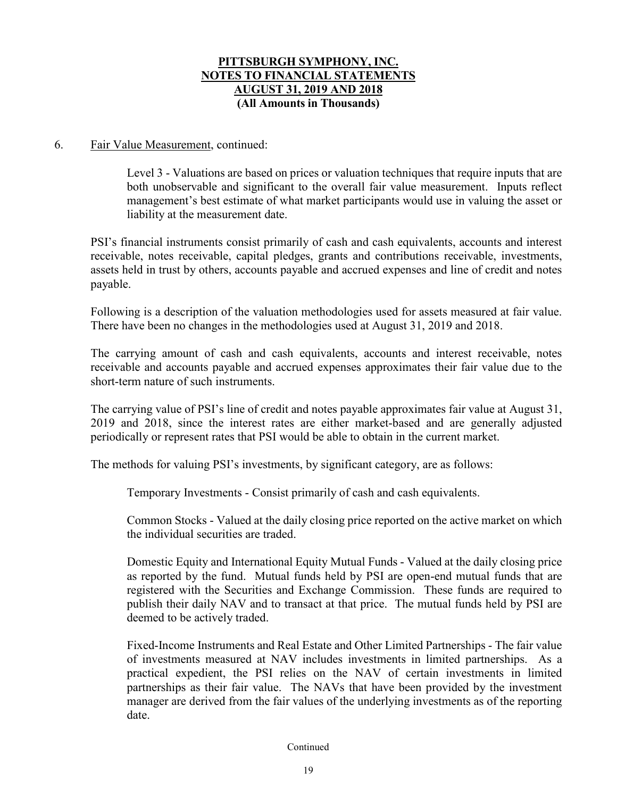### 6. Fair Value Measurement, continued:

Level 3 - Valuations are based on prices or valuation techniques that require inputs that are both unobservable and significant to the overall fair value measurement. Inputs reflect management's best estimate of what market participants would use in valuing the asset or liability at the measurement date.

PSI's financial instruments consist primarily of cash and cash equivalents, accounts and interest receivable, notes receivable, capital pledges, grants and contributions receivable, investments, assets held in trust by others, accounts payable and accrued expenses and line of credit and notes payable.

Following is a description of the valuation methodologies used for assets measured at fair value. There have been no changes in the methodologies used at August 31, 2019 and 2018.

The carrying amount of cash and cash equivalents, accounts and interest receivable, notes receivable and accounts payable and accrued expenses approximates their fair value due to the short-term nature of such instruments.

The carrying value of PSI's line of credit and notes payable approximates fair value at August 31, 2019 and 2018, since the interest rates are either market-based and are generally adjusted periodically or represent rates that PSI would be able to obtain in the current market.

The methods for valuing PSI's investments, by significant category, are as follows:

Temporary Investments - Consist primarily of cash and cash equivalents.

Common Stocks - Valued at the daily closing price reported on the active market on which the individual securities are traded.

Domestic Equity and International Equity Mutual Funds - Valued at the daily closing price as reported by the fund. Mutual funds held by PSI are open-end mutual funds that are registered with the Securities and Exchange Commission. These funds are required to publish their daily NAV and to transact at that price. The mutual funds held by PSI are deemed to be actively traded.

Fixed-Income Instruments and Real Estate and Other Limited Partnerships - The fair value of investments measured at NAV includes investments in limited partnerships. As a practical expedient, the PSI relies on the NAV of certain investments in limited partnerships as their fair value. The NAVs that have been provided by the investment manager are derived from the fair values of the underlying investments as of the reporting date.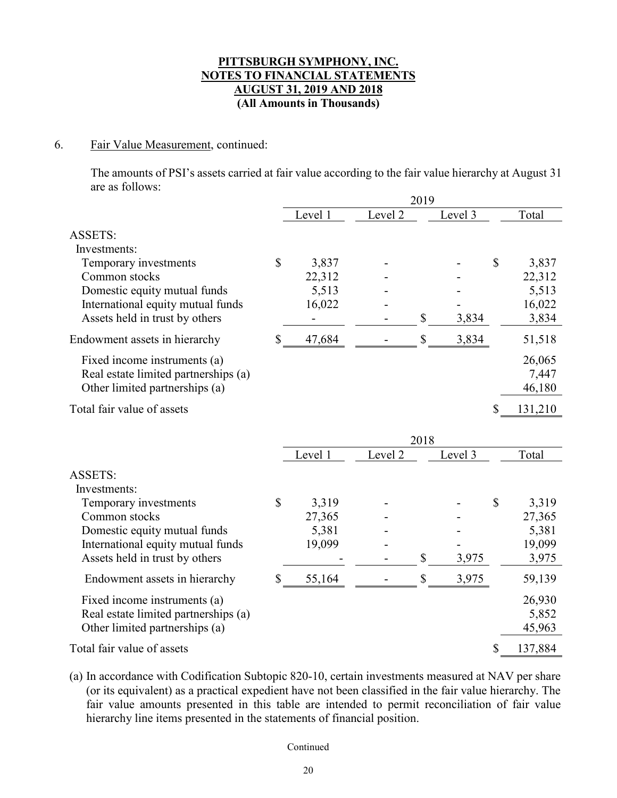### 6. Fair Value Measurement, continued:

The amounts of PSI's assets carried at fair value according to the fair value hierarchy at August 31 are as follows:

|                                       | 2019    |         |      |         |               |         |  |
|---------------------------------------|---------|---------|------|---------|---------------|---------|--|
|                                       | Level 1 | Level 2 |      | Level 3 |               | Total   |  |
| <b>ASSETS:</b>                        |         |         |      |         |               |         |  |
| Investments:                          |         |         |      |         |               |         |  |
| $\mathbb{S}$<br>Temporary investments | 3,837   |         |      |         | $\mathcal{S}$ | 3,837   |  |
| Common stocks                         | 22,312  |         |      |         |               | 22,312  |  |
| Domestic equity mutual funds          | 5,513   |         |      |         |               | 5,513   |  |
| International equity mutual funds     | 16,022  |         |      |         |               | 16,022  |  |
| Assets held in trust by others        |         |         | \$   | 3,834   |               | 3,834   |  |
| S<br>Endowment assets in hierarchy    | 47,684  |         | \$   | 3,834   |               | 51,518  |  |
| Fixed income instruments (a)          |         |         |      |         |               | 26,065  |  |
| Real estate limited partnerships (a)  |         |         |      |         |               | 7,447   |  |
| Other limited partnerships (a)        |         |         |      |         |               | 46,180  |  |
| Total fair value of assets            |         |         |      |         |               | 131,210 |  |
|                                       |         |         |      |         |               |         |  |
|                                       |         |         | 2018 |         |               |         |  |
|                                       | Level 1 | Level 2 |      | Level 3 |               | Total   |  |

| <b>ASSETS:</b>                       |   |        |    |       |   |         |
|--------------------------------------|---|--------|----|-------|---|---------|
| Investments:                         |   |        |    |       |   |         |
| Temporary investments                | S | 3,319  |    |       | S | 3,319   |
| Common stocks                        |   | 27,365 |    |       |   | 27,365  |
| Domestic equity mutual funds         |   | 5,381  |    |       |   | 5,381   |
| International equity mutual funds    |   | 19,099 |    |       |   | 19,099  |
| Assets held in trust by others       |   |        | \$ | 3,975 |   | 3,975   |
| Endowment assets in hierarchy        |   | 55,164 |    | 3,975 |   | 59,139  |
| Fixed income instruments (a)         |   |        |    |       |   | 26,930  |
| Real estate limited partnerships (a) |   |        |    |       |   | 5,852   |
| Other limited partnerships (a)       |   |        |    |       |   | 45,963  |
| Total fair value of assets           |   |        |    |       |   | 137,884 |

(a) In accordance with Codification Subtopic 820-10, certain investments measured at NAV per share (or its equivalent) as a practical expedient have not been classified in the fair value hierarchy. The fair value amounts presented in this table are intended to permit reconciliation of fair value hierarchy line items presented in the statements of financial position.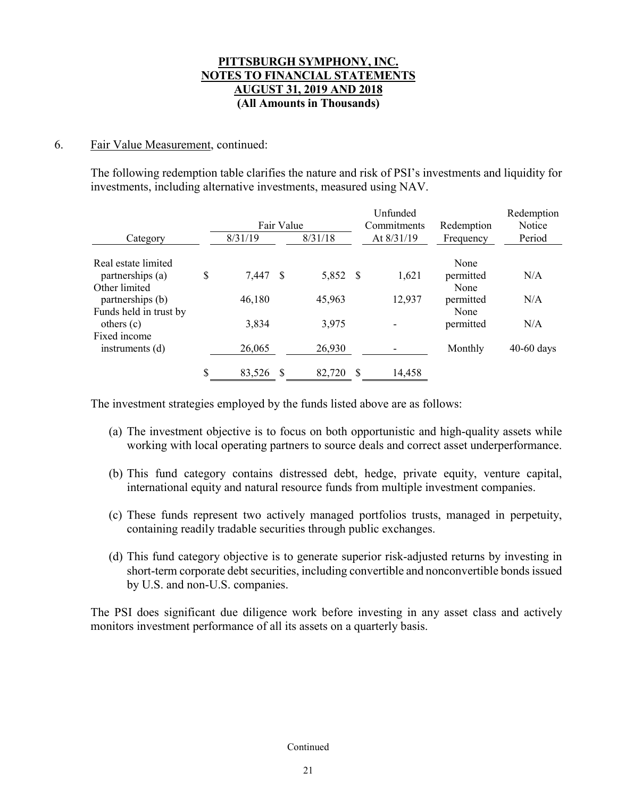### 6. Fair Value Measurement, continued:

The following redemption table clarifies the nature and risk of PSI's investments and liquidity for investments, including alternative investments, measured using NAV.

|                        |                | Fair Value |          |   | Unfunded<br>Commitments | Redemption | Redemption<br>Notice |
|------------------------|----------------|------------|----------|---|-------------------------|------------|----------------------|
| Category               | 8/31/19        |            | 8/31/18  |   | At 8/31/19              | Frequency  | Period               |
| Real estate limited    |                |            |          |   |                         | None       |                      |
| partnerships (a)       | \$<br>7,447 \$ |            | 5,852 \$ |   | 1,621                   | permitted  | N/A                  |
| Other limited          |                |            |          |   |                         | None       |                      |
| partnerships (b)       | 46,180         |            | 45,963   |   | 12,937                  | permitted  | N/A                  |
| Funds held in trust by |                |            |          |   |                         | None       |                      |
| others $(c)$           | 3,834          |            | 3,975    |   |                         | permitted  | N/A                  |
| Fixed income           |                |            |          |   |                         |            |                      |
| instruments $(d)$      | 26,065         |            | 26,930   |   |                         | Monthly    | $40-60$ days         |
|                        | \$<br>83,526   | -8         | 82,720   | S | 14,458                  |            |                      |

The investment strategies employed by the funds listed above are as follows:

- (a) The investment objective is to focus on both opportunistic and high-quality assets while working with local operating partners to source deals and correct asset underperformance.
- (b) This fund category contains distressed debt, hedge, private equity, venture capital, international equity and natural resource funds from multiple investment companies.
- (c) These funds represent two actively managed portfolios trusts, managed in perpetuity, containing readily tradable securities through public exchanges.
- (d) This fund category objective is to generate superior risk-adjusted returns by investing in short-term corporate debt securities, including convertible and nonconvertible bonds issued by U.S. and non-U.S. companies.

The PSI does significant due diligence work before investing in any asset class and actively monitors investment performance of all its assets on a quarterly basis.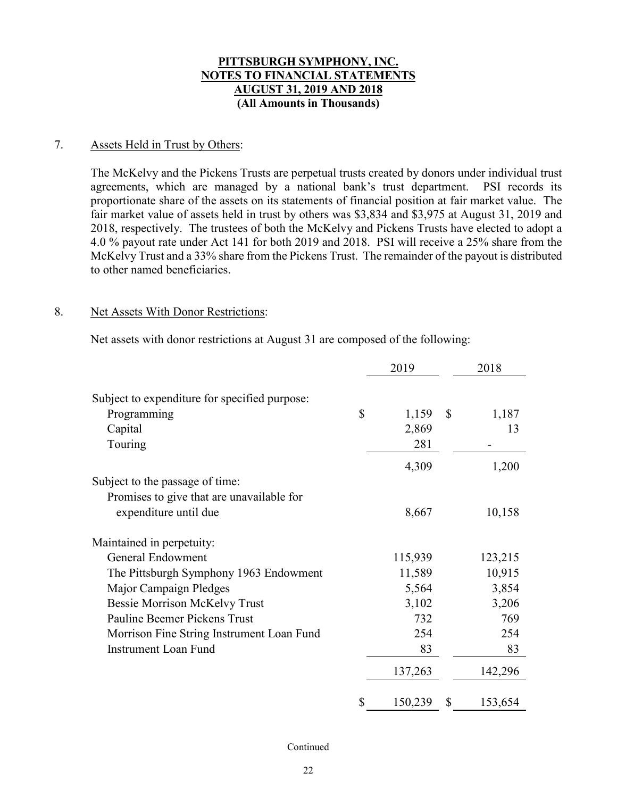### 7. Assets Held in Trust by Others:

The McKelvy and the Pickens Trusts are perpetual trusts created by donors under individual trust agreements, which are managed by a national bank's trust department. PSI records its proportionate share of the assets on its statements of financial position at fair market value. The fair market value of assets held in trust by others was \$3,834 and \$3,975 at August 31, 2019 and 2018, respectively. The trustees of both the McKelvy and Pickens Trusts have elected to adopt a 4.0 % payout rate under Act 141 for both 2019 and 2018. PSI will receive a 25% share from the McKelvy Trust and a 33% share from the Pickens Trust. The remainder of the payout is distributed to other named beneficiaries.

#### 8. Net Assets With Donor Restrictions:

Net assets with donor restrictions at August 31 are composed of the following:

|                                               | 2019          |              | 2018    |
|-----------------------------------------------|---------------|--------------|---------|
| Subject to expenditure for specified purpose: |               |              |         |
| Programming                                   | \$<br>1,159   | $\mathbb{S}$ | 1,187   |
| Capital                                       | 2,869         |              | 13      |
| Touring                                       | 281           |              |         |
|                                               | 4,309         |              | 1,200   |
| Subject to the passage of time:               |               |              |         |
| Promises to give that are unavailable for     |               |              |         |
| expenditure until due                         | 8,667         |              | 10,158  |
| Maintained in perpetuity:                     |               |              |         |
| <b>General Endowment</b>                      | 115,939       |              | 123,215 |
| The Pittsburgh Symphony 1963 Endowment        | 11,589        |              | 10,915  |
| Major Campaign Pledges                        | 5,564         |              | 3,854   |
| <b>Bessie Morrison McKelvy Trust</b>          | 3,102         |              | 3,206   |
| Pauline Beemer Pickens Trust                  | 732           |              | 769     |
| Morrison Fine String Instrument Loan Fund     | 254           |              | 254     |
| <b>Instrument Loan Fund</b>                   | 83            |              | 83      |
|                                               | 137,263       |              | 142,296 |
|                                               | \$<br>150,239 | \$           | 153,654 |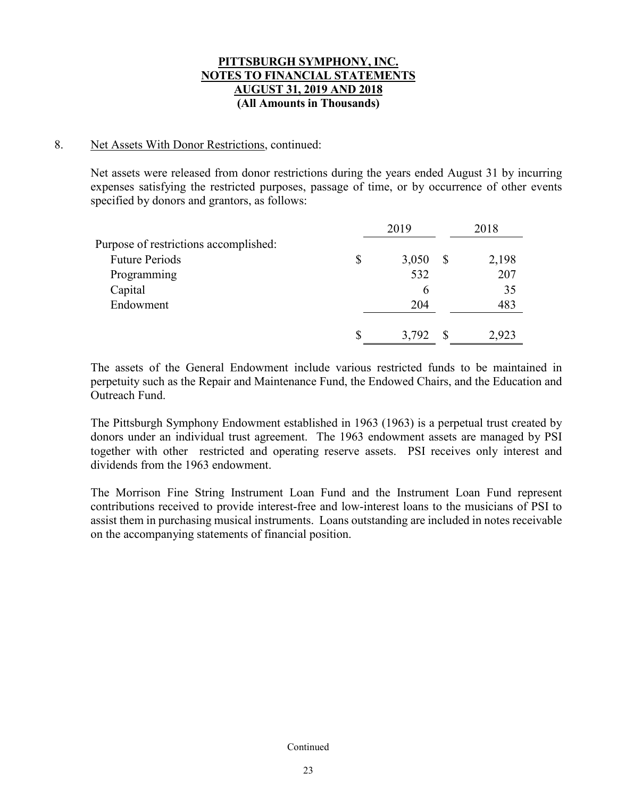### 8. Net Assets With Donor Restrictions, continued:

Net assets were released from donor restrictions during the years ended August 31 by incurring expenses satisfying the restricted purposes, passage of time, or by occurrence of other events specified by donors and grantors, as follows:

|                                       | 2019        | 2018  |
|---------------------------------------|-------------|-------|
| Purpose of restrictions accomplished: |             |       |
| <b>Future Periods</b>                 | \$<br>3,050 | 2,198 |
| Programming                           | 532         | 207   |
| Capital                               | 6           | 35    |
| Endowment                             | 204         | 483   |
|                                       | 3,792       | 2,923 |

The assets of the General Endowment include various restricted funds to be maintained in perpetuity such as the Repair and Maintenance Fund, the Endowed Chairs, and the Education and Outreach Fund.

The Pittsburgh Symphony Endowment established in 1963 (1963) is a perpetual trust created by donors under an individual trust agreement. The 1963 endowment assets are managed by PSI together with other restricted and operating reserve assets. PSI receives only interest and dividends from the 1963 endowment.

The Morrison Fine String Instrument Loan Fund and the Instrument Loan Fund represent contributions received to provide interest-free and low-interest loans to the musicians of PSI to assist them in purchasing musical instruments. Loans outstanding are included in notes receivable on the accompanying statements of financial position.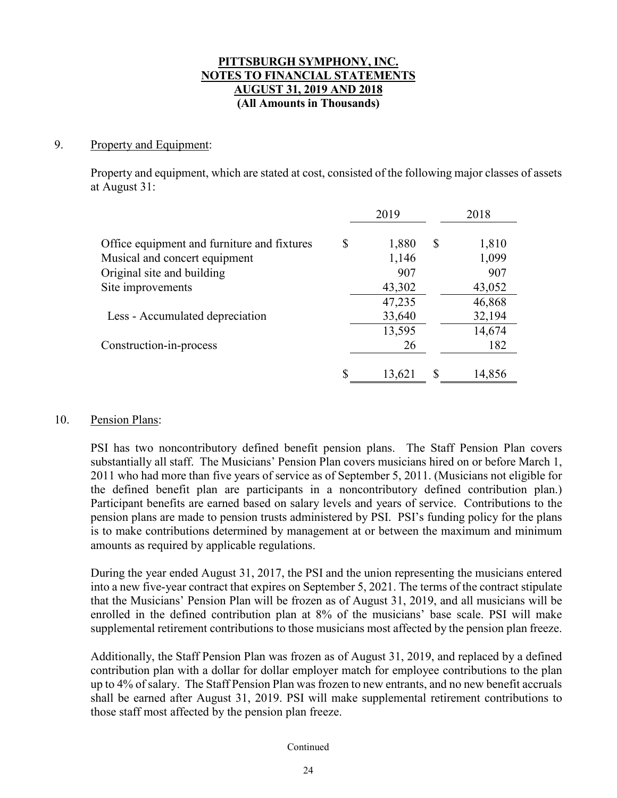### 9. Property and Equipment:

Property and equipment, which are stated at cost, consisted of the following major classes of assets at August 31:

|                                             |    | 2019   |    | 2018   |
|---------------------------------------------|----|--------|----|--------|
| Office equipment and furniture and fixtures | \$ | 1,880  | \$ | 1,810  |
| Musical and concert equipment               |    | 1,146  |    | 1,099  |
| Original site and building                  |    | 907    |    | 907    |
| Site improvements                           |    | 43,302 |    | 43,052 |
|                                             |    | 47,235 |    | 46,868 |
| Less - Accumulated depreciation             |    | 33,640 |    | 32,194 |
|                                             |    | 13,595 |    | 14,674 |
| Construction-in-process                     |    | 26     |    | 182    |
|                                             |    |        |    |        |
|                                             | S  | 13,621 | S  | 14,856 |

### 10. Pension Plans:

PSI has two noncontributory defined benefit pension plans. The Staff Pension Plan covers substantially all staff. The Musicians' Pension Plan covers musicians hired on or before March 1, 2011 who had more than five years of service as of September 5, 2011. (Musicians not eligible for the defined benefit plan are participants in a noncontributory defined contribution plan.) Participant benefits are earned based on salary levels and years of service. Contributions to the pension plans are made to pension trusts administered by PSI. PSI's funding policy for the plans is to make contributions determined by management at or between the maximum and minimum amounts as required by applicable regulations.

During the year ended August 31, 2017, the PSI and the union representing the musicians entered into a new five-year contract that expires on September 5, 2021. The terms of the contract stipulate that the Musicians' Pension Plan will be frozen as of August 31, 2019, and all musicians will be enrolled in the defined contribution plan at 8% of the musicians' base scale. PSI will make supplemental retirement contributions to those musicians most affected by the pension plan freeze.

Additionally, the Staff Pension Plan was frozen as of August 31, 2019, and replaced by a defined contribution plan with a dollar for dollar employer match for employee contributions to the plan up to 4% of salary. The Staff Pension Plan was frozen to new entrants, and no new benefit accruals shall be earned after August 31, 2019. PSI will make supplemental retirement contributions to those staff most affected by the pension plan freeze.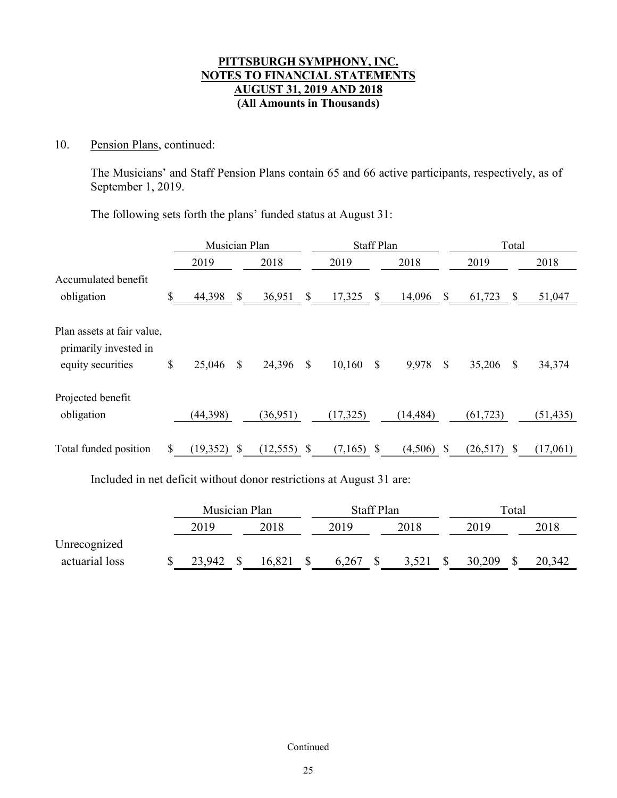### 10. Pension Plans, continued:

The Musicians' and Staff Pension Plans contain 65 and 66 active participants, respectively, as of September 1, 2019.

The following sets forth the plans' funded status at August 31:

|                                                     |    | Musician Plan |              |           |                           | <b>Staff Plan</b> |              |           | Total         |           |          |           |
|-----------------------------------------------------|----|---------------|--------------|-----------|---------------------------|-------------------|--------------|-----------|---------------|-----------|----------|-----------|
|                                                     |    | 2019          |              | 2018      |                           | 2019              |              | 2018      |               | 2019      |          | 2018      |
| Accumulated benefit<br>obligation                   | \$ | 44,398        | $\mathbb{S}$ | 36,951    | $\boldsymbol{\mathsf{S}}$ | 17,325            | $\mathbb{S}$ | 14,096    | $\mathcal{S}$ | 61,723    | \$       | 51,047    |
| Plan assets at fair value,<br>primarily invested in |    |               |              |           |                           |                   |              |           |               |           |          |           |
| equity securities                                   | \$ | 25,046        | \$           | 24,396    | \$                        | 10,160            | \$           | 9,978     | $\mathbf S$   | 35,206    | S        | 34,374    |
| Projected benefit                                   |    |               |              |           |                           |                   |              |           |               |           |          |           |
| obligation                                          |    | (44, 398)     |              | (36,951)  |                           | (17, 325)         |              | (14, 484) |               | (61, 723) |          | (51, 435) |
| Total funded position                               | S  | (19, 352)     | <b>S</b>     | (12, 555) | -S                        | (7,165)           | -S           | (4,506)   | -S            | (26,517)  | <b>S</b> | (17,061)  |

Included in net deficit without donor restrictions at August 31 are:

|                | Musician Plan |  |        | <b>Staff Plan</b> |  |       |  | Total  |  |        |  |
|----------------|---------------|--|--------|-------------------|--|-------|--|--------|--|--------|--|
|                | 2019          |  | 2018   | 2019              |  | 2018  |  | 2019   |  | 2018   |  |
| Unrecognized   |               |  |        |                   |  |       |  |        |  |        |  |
| actuarial loss | 23,942        |  | 16,821 | 6,267             |  | 3,521 |  | 30,209 |  | 20,342 |  |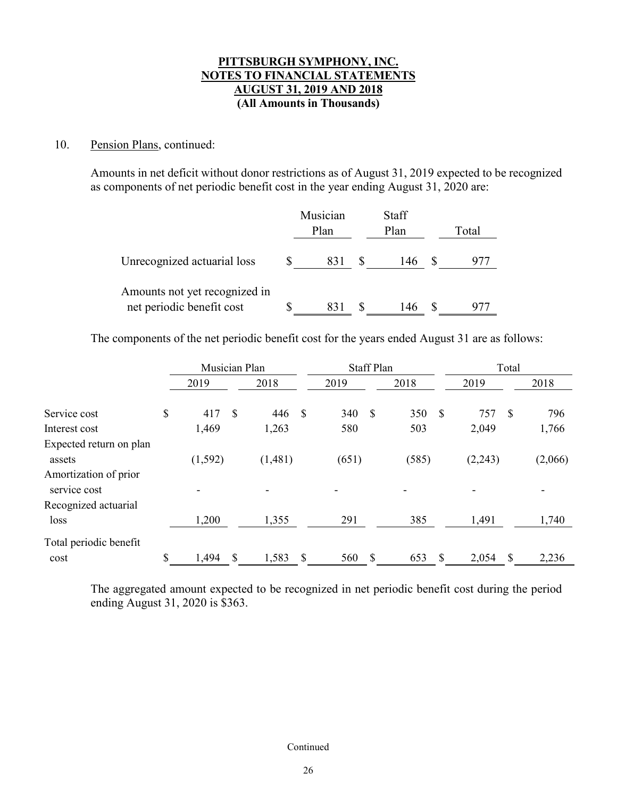### 10. Pension Plans, continued:

Amounts in net deficit without donor restrictions as of August 31, 2019 expected to be recognized as components of net periodic benefit cost in the year ending August 31, 2020 are:

|                                                            | Musician<br>Plan | Staff<br>Plan | Total |
|------------------------------------------------------------|------------------|---------------|-------|
| Unrecognized actuarial loss                                | 831              | 146           |       |
| Amounts not yet recognized in<br>net periodic benefit cost | 831              | 146           |       |

The components of the net periodic benefit cost for the years ended August 31 are as follows:

|                                       | Musician Plan |     |         |               | <b>Staff Plan</b> |    |       | Total |         |    |         |
|---------------------------------------|---------------|-----|---------|---------------|-------------------|----|-------|-------|---------|----|---------|
|                                       | 2019          |     | 2018    |               | 2019              |    | 2018  |       | 2019    |    | 2018    |
| Service cost                          | \$<br>417     | \$. | 446     | $\mathcal{S}$ | 340               | \$ | 350   | \$    | 757     | \$ | 796     |
| Interest cost                         | 1,469         |     | 1,263   |               | 580               |    | 503   |       | 2,049   |    | 1,766   |
| Expected return on plan<br>assets     | (1, 592)      |     | (1,481) |               | (651)             |    | (585) |       | (2,243) |    | (2,066) |
| Amortization of prior<br>service cost |               |     |         |               |                   |    |       |       |         |    |         |
| Recognized actuarial                  |               |     |         |               |                   |    |       |       |         |    |         |
| loss                                  | 1,200         |     | 1,355   |               | 291               |    | 385   |       | 1,491   |    | 1,740   |
| Total periodic benefit                |               |     |         |               |                   |    |       |       |         |    |         |
| cost                                  | \$<br>1,494   | S   | 1,583   | \$.           | 560               | S  | 653   | S     | 2,054   | S  | 2,236   |

The aggregated amount expected to be recognized in net periodic benefit cost during the period ending August 31, 2020 is \$363.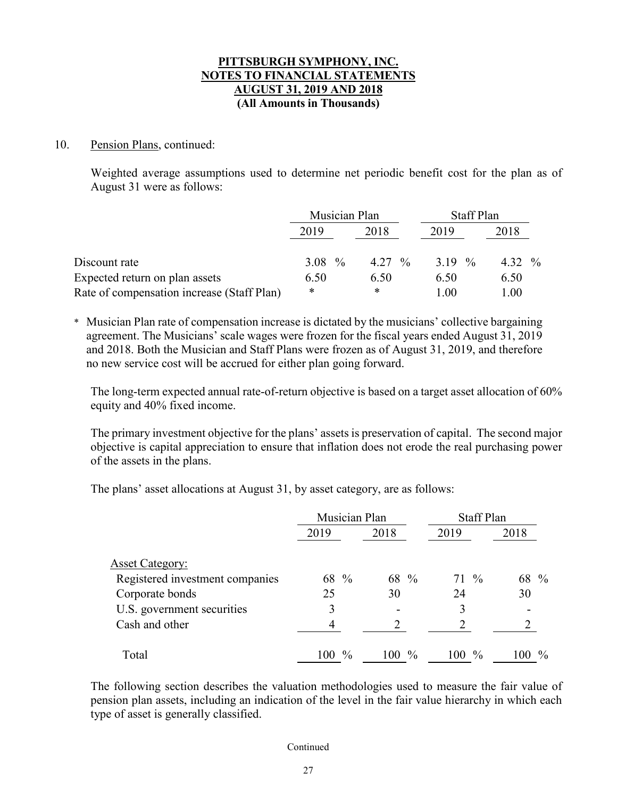### 10. Pension Plans, continued:

Weighted average assumptions used to determine net periodic benefit cost for the plan as of August 31 were as follows:

|                                            | Musician Plan |          | Staff Plan |           |
|--------------------------------------------|---------------|----------|------------|-----------|
|                                            | 2019          | 2018     | 2019       | 2018      |
| Discount rate                              | 3.08 $\%$     | $4.27\%$ | 3.19 $\%$  | 4.32 $\%$ |
| Expected return on plan assets             | 6.50          | 6.50     | 6.50       | 6.50      |
| Rate of compensation increase (Staff Plan) | *             | ∗        | 1.00       | 1.00      |

\* Musician Plan rate of compensation increase is dictated by the musicians' collective bargaining agreement. The Musicians' scale wages were frozen for the fiscal years ended August 31, 2019 and 2018. Both the Musician and Staff Plans were frozen as of August 31, 2019, and therefore no new service cost will be accrued for either plan going forward.

The long-term expected annual rate-of-return objective is based on a target asset allocation of 60% equity and 40% fixed income.

The primary investment objective for the plans' assets is preservation of capital. The second major objective is capital appreciation to ensure that inflation does not erode the real purchasing power of the assets in the plans.

The plans' asset allocations at August 31, by asset category, are as follows:

|                                 | Musician Plan          |         | <b>Staff Plan</b> |                      |
|---------------------------------|------------------------|---------|-------------------|----------------------|
|                                 | 2019                   | 2018    | 2019              | 2018                 |
| <b>Asset Category:</b>          |                        |         |                   |                      |
| Registered investment companies | 68 %                   | 68 %    | $71\frac{9}{6}$   | 68 %                 |
| Corporate bonds                 | 25                     | 30      | 24                | 30                   |
| U.S. government securities      | 3                      |         | 3                 |                      |
| Cash and other                  | 4                      |         |                   |                      |
| Total                           | $\frac{0}{0}$<br>100 - | $100\%$ | $100\%$           | $\frac{0}{0}$<br>100 |

The following section describes the valuation methodologies used to measure the fair value of pension plan assets, including an indication of the level in the fair value hierarchy in which each type of asset is generally classified.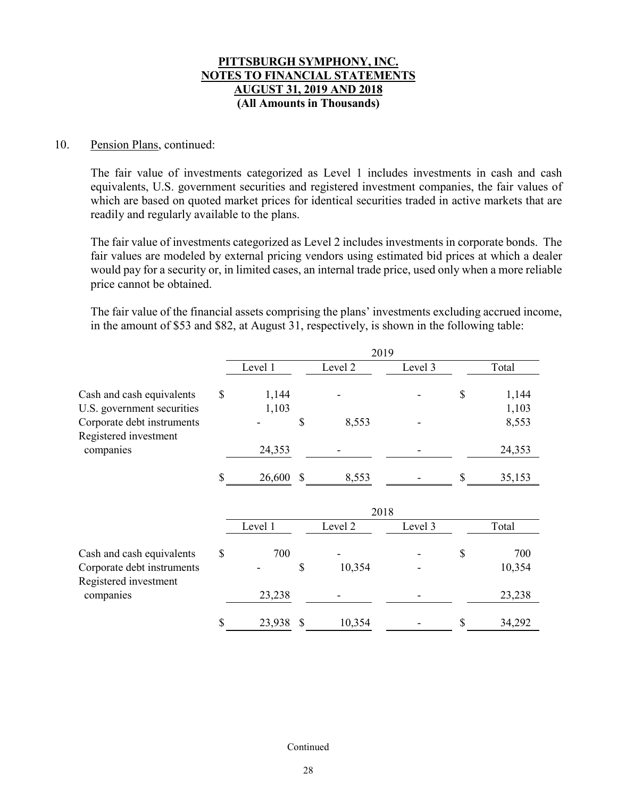### 10. Pension Plans, continued:

The fair value of investments categorized as Level 1 includes investments in cash and cash equivalents, U.S. government securities and registered investment companies, the fair values of which are based on quoted market prices for identical securities traded in active markets that are readily and regularly available to the plans.

The fair value of investments categorized as Level 2 includes investments in corporate bonds. The fair values are modeled by external pricing vendors using estimated bid prices at which a dealer would pay for a security or, in limited cases, an internal trade price, used only when a more reliable price cannot be obtained.

The fair value of the financial assets comprising the plans' investments excluding accrued income, in the amount of \$53 and \$82, at August 31, respectively, is shown in the following table:

|                                                     |              |               | 2019               |         |              |
|-----------------------------------------------------|--------------|---------------|--------------------|---------|--------------|
|                                                     | Level 1      |               | Level 2            | Level 3 | Total        |
| Cash and cash equivalents                           | \$<br>1,144  |               |                    |         | \$<br>1,144  |
| U.S. government securities                          | 1,103        |               |                    |         | 1,103        |
| Corporate debt instruments<br>Registered investment |              | \$            | 8,553              |         | 8,553        |
| companies                                           | 24,353       |               |                    |         | 24,353       |
|                                                     | \$<br>26,600 | $\mathcal{S}$ | 8,553              |         | \$<br>35,153 |
|                                                     |              |               | 2018               |         |              |
|                                                     | Level 1      |               | Level <sub>2</sub> | Level 3 | Total        |
| Cash and cash equivalents                           | \$<br>700    |               |                    |         | \$<br>700    |
| Corporate debt instruments<br>Registered investment |              | \$            | 10,354             |         | 10,354       |
| companies                                           | 23,238       |               |                    |         | 23,238       |
|                                                     | \$<br>23,938 | \$            | 10,354             |         | \$<br>34,292 |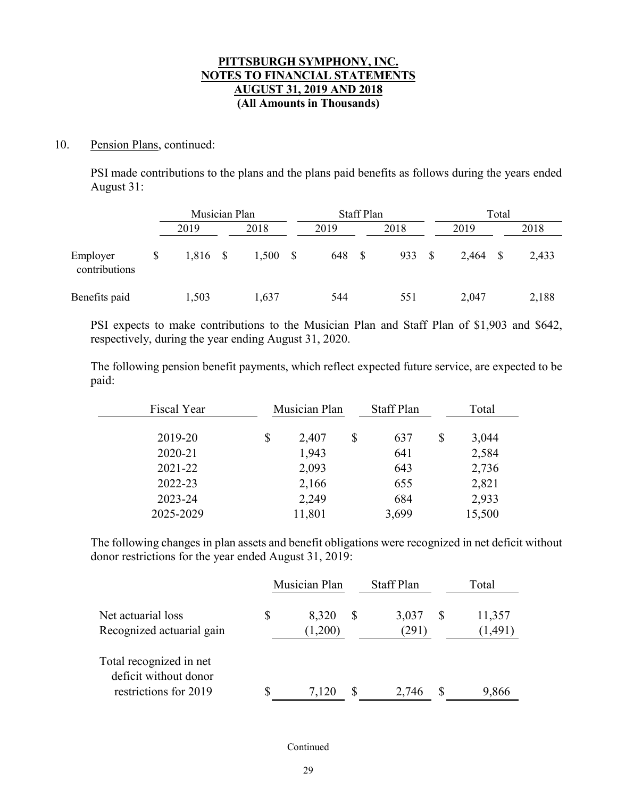### 10. Pension Plans, continued:

PSI made contributions to the plans and the plans paid benefits as follows during the years ended August 31:

|                           | Musician Plan |      |       |  |      | <b>Staff Plan</b> |      |  | Total |              |       |  |
|---------------------------|---------------|------|-------|--|------|-------------------|------|--|-------|--------------|-------|--|
|                           | 2019          |      | 2018  |  | 2019 |                   | 2018 |  | 2019  |              | 2018  |  |
| Employer<br>contributions | \$<br>1,816   | - \$ | 1,500 |  | 648  | - \$              | 933  |  | 2,464 | <sup>S</sup> | 2,433 |  |
| Benefits paid             | 1,503         |      | 1,637 |  | 544  |                   | 551  |  | 2,047 |              | 2,188 |  |

PSI expects to make contributions to the Musician Plan and Staff Plan of \$1,903 and \$642, respectively, during the year ending August 31, 2020.

The following pension benefit payments, which reflect expected future service, are expected to be paid:

| Fiscal Year | Musician Plan |        | <b>Staff Plan</b> |    | Total  |  |
|-------------|---------------|--------|-------------------|----|--------|--|
| 2019-20     | \$            | 2,407  | \$<br>637         | \$ | 3,044  |  |
| 2020-21     |               | 1,943  | 641               |    | 2,584  |  |
| 2021-22     |               | 2,093  | 643               |    | 2,736  |  |
| 2022-23     |               | 2,166  | 655               |    | 2,821  |  |
| 2023-24     |               | 2,249  | 684               |    | 2,933  |  |
| 2025-2029   |               | 11,801 | 3,699             |    | 15,500 |  |

The following changes in plan assets and benefit obligations were recognized in net deficit without donor restrictions for the year ended August 31, 2019:

|                                                                           |    | Musician Plan    |              | <b>Staff Plan</b> |  | Total              |  |
|---------------------------------------------------------------------------|----|------------------|--------------|-------------------|--|--------------------|--|
| Net actuarial loss<br>Recognized actuarial gain                           | \$ | 8,320<br>(1,200) | <sup>8</sup> | 3,037<br>(291)    |  | 11,357<br>(1, 491) |  |
| Total recognized in net<br>deficit without donor<br>restrictions for 2019 |    | 7,120            |              | 2,746             |  | 9,866              |  |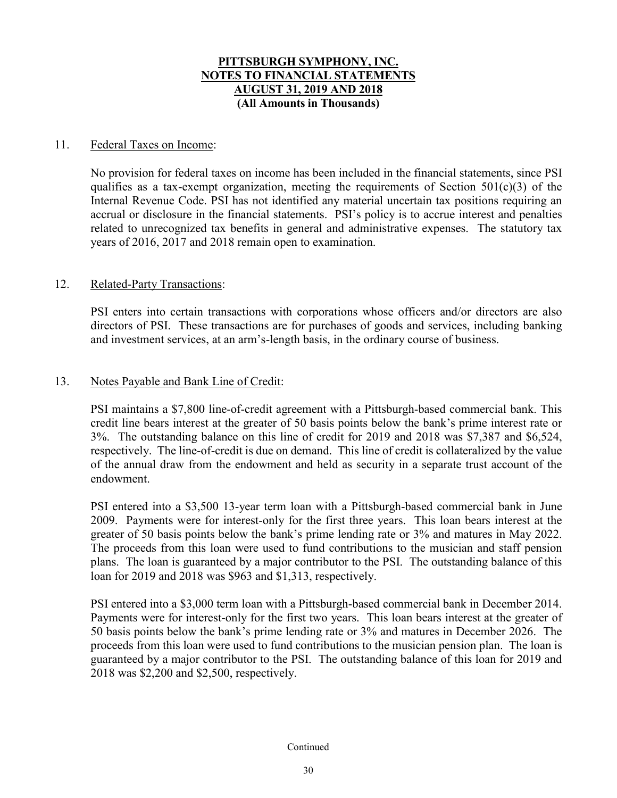### 11. Federal Taxes on Income:

No provision for federal taxes on income has been included in the financial statements, since PSI qualifies as a tax-exempt organization, meeting the requirements of Section  $501(c)(3)$  of the Internal Revenue Code. PSI has not identified any material uncertain tax positions requiring an accrual or disclosure in the financial statements. PSI's policy is to accrue interest and penalties related to unrecognized tax benefits in general and administrative expenses. The statutory tax years of 2016, 2017 and 2018 remain open to examination.

### 12. Related-Party Transactions:

PSI enters into certain transactions with corporations whose officers and/or directors are also directors of PSI. These transactions are for purchases of goods and services, including banking and investment services, at an arm's-length basis, in the ordinary course of business.

### 13. Notes Payable and Bank Line of Credit:

PSI maintains a \$7,800 line-of-credit agreement with a Pittsburgh-based commercial bank. This credit line bears interest at the greater of 50 basis points below the bank's prime interest rate or 3%. The outstanding balance on this line of credit for 2019 and 2018 was \$7,387 and \$6,524, respectively. The line-of-credit is due on demand. This line of credit is collateralized by the value of the annual draw from the endowment and held as security in a separate trust account of the endowment.

PSI entered into a \$3,500 13-year term loan with a Pittsburgh-based commercial bank in June 2009. Payments were for interest-only for the first three years. This loan bears interest at the greater of 50 basis points below the bank's prime lending rate or 3% and matures in May 2022. The proceeds from this loan were used to fund contributions to the musician and staff pension plans. The loan is guaranteed by a major contributor to the PSI. The outstanding balance of this loan for 2019 and 2018 was \$963 and \$1,313, respectively.

PSI entered into a \$3,000 term loan with a Pittsburgh-based commercial bank in December 2014. Payments were for interest-only for the first two years. This loan bears interest at the greater of 50 basis points below the bank's prime lending rate or 3% and matures in December 2026. The proceeds from this loan were used to fund contributions to the musician pension plan. The loan is guaranteed by a major contributor to the PSI. The outstanding balance of this loan for 2019 and 2018 was \$2,200 and \$2,500, respectively.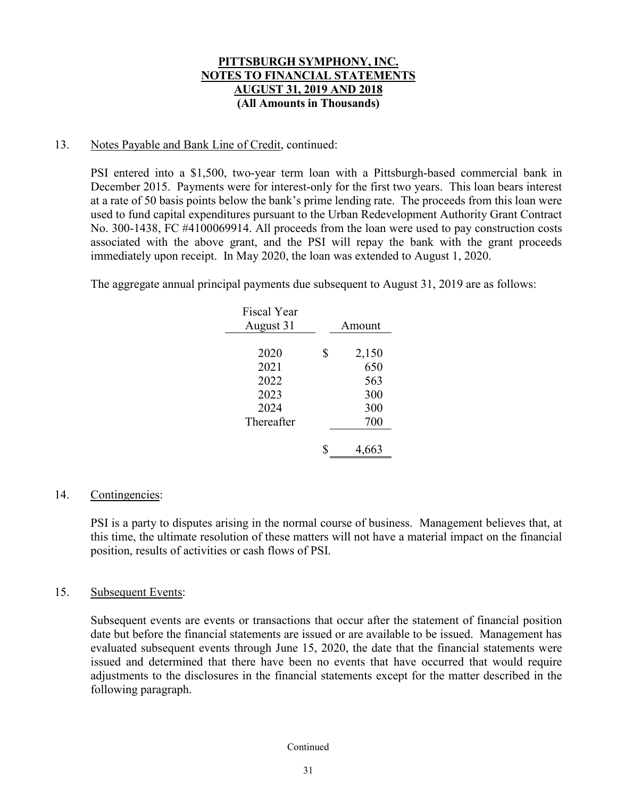### 13. Notes Payable and Bank Line of Credit, continued:

PSI entered into a \$1,500, two-year term loan with a Pittsburgh-based commercial bank in December 2015. Payments were for interest-only for the first two years. This loan bears interest at a rate of 50 basis points below the bank's prime lending rate. The proceeds from this loan were used to fund capital expenditures pursuant to the Urban Redevelopment Authority Grant Contract No. 300-1438, FC #4100069914. All proceeds from the loan were used to pay construction costs associated with the above grant, and the PSI will repay the bank with the grant proceeds immediately upon receipt. In May 2020, the loan was extended to August 1, 2020.

The aggregate annual principal payments due subsequent to August 31, 2019 are as follows:

| <b>Fiscal Year</b><br>August 31 | Amount      |
|---------------------------------|-------------|
| 2020                            | \$<br>2,150 |
| 2021                            | 650         |
| 2022<br>2023                    | 563<br>300  |
| 2024                            | 300         |
| Thereafter                      | 700         |
|                                 | 4,663       |

### 14. Contingencies:

PSI is a party to disputes arising in the normal course of business. Management believes that, at this time, the ultimate resolution of these matters will not have a material impact on the financial position, results of activities or cash flows of PSI.

### 15. Subsequent Events:

Subsequent events are events or transactions that occur after the statement of financial position date but before the financial statements are issued or are available to be issued. Management has evaluated subsequent events through June 15, 2020, the date that the financial statements were issued and determined that there have been no events that have occurred that would require adjustments to the disclosures in the financial statements except for the matter described in the following paragraph.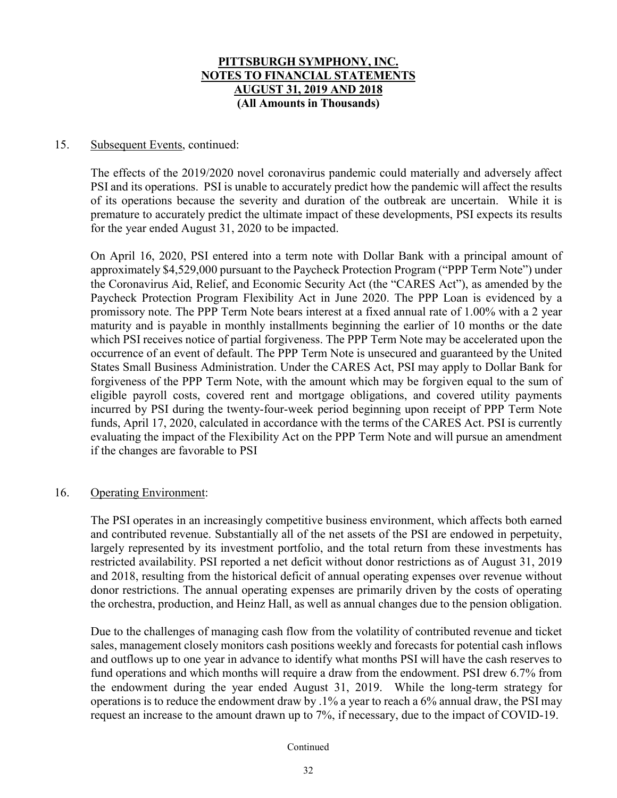### 15. Subsequent Events, continued:

The effects of the 2019/2020 novel coronavirus pandemic could materially and adversely affect PSI and its operations. PSI is unable to accurately predict how the pandemic will affect the results of its operations because the severity and duration of the outbreak are uncertain. While it is premature to accurately predict the ultimate impact of these developments, PSI expects its results for the year ended August 31, 2020 to be impacted.

On April 16, 2020, PSI entered into a term note with Dollar Bank with a principal amount of approximately \$4,529,000 pursuant to the Paycheck Protection Program ("PPP Term Note") under the Coronavirus Aid, Relief, and Economic Security Act (the "CARES Act"), as amended by the Paycheck Protection Program Flexibility Act in June 2020. The PPP Loan is evidenced by a promissory note. The PPP Term Note bears interest at a fixed annual rate of 1.00% with a 2 year maturity and is payable in monthly installments beginning the earlier of 10 months or the date which PSI receives notice of partial forgiveness. The PPP Term Note may be accelerated upon the occurrence of an event of default. The PPP Term Note is unsecured and guaranteed by the United States Small Business Administration. Under the CARES Act, PSI may apply to Dollar Bank for forgiveness of the PPP Term Note, with the amount which may be forgiven equal to the sum of eligible payroll costs, covered rent and mortgage obligations, and covered utility payments incurred by PSI during the twenty-four-week period beginning upon receipt of PPP Term Note funds, April 17, 2020, calculated in accordance with the terms of the CARES Act. PSI is currently evaluating the impact of the Flexibility Act on the PPP Term Note and will pursue an amendment if the changes are favorable to PSI

### 16. Operating Environment:

The PSI operates in an increasingly competitive business environment, which affects both earned and contributed revenue. Substantially all of the net assets of the PSI are endowed in perpetuity, largely represented by its investment portfolio, and the total return from these investments has restricted availability. PSI reported a net deficit without donor restrictions as of August 31, 2019 and 2018, resulting from the historical deficit of annual operating expenses over revenue without donor restrictions. The annual operating expenses are primarily driven by the costs of operating the orchestra, production, and Heinz Hall, as well as annual changes due to the pension obligation.

Due to the challenges of managing cash flow from the volatility of contributed revenue and ticket sales, management closely monitors cash positions weekly and forecasts for potential cash inflows and outflows up to one year in advance to identify what months PSI will have the cash reserves to fund operations and which months will require a draw from the endowment. PSI drew 6.7% from the endowment during the year ended August 31, 2019. While the long-term strategy for operations is to reduce the endowment draw by .1% a year to reach a 6% annual draw, the PSI may request an increase to the amount drawn up to 7%, if necessary, due to the impact of COVID-19.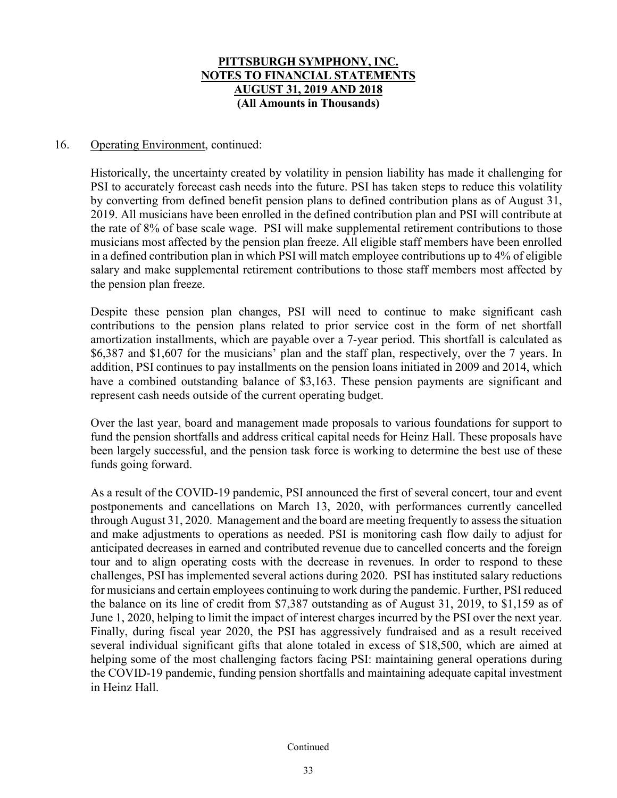### 16. Operating Environment, continued:

Historically, the uncertainty created by volatility in pension liability has made it challenging for PSI to accurately forecast cash needs into the future. PSI has taken steps to reduce this volatility by converting from defined benefit pension plans to defined contribution plans as of August 31, 2019. All musicians have been enrolled in the defined contribution plan and PSI will contribute at the rate of 8% of base scale wage. PSI will make supplemental retirement contributions to those musicians most affected by the pension plan freeze. All eligible staff members have been enrolled in a defined contribution plan in which PSI will match employee contributions up to 4% of eligible salary and make supplemental retirement contributions to those staff members most affected by the pension plan freeze.

Despite these pension plan changes, PSI will need to continue to make significant cash contributions to the pension plans related to prior service cost in the form of net shortfall amortization installments, which are payable over a 7-year period. This shortfall is calculated as \$6,387 and \$1,607 for the musicians' plan and the staff plan, respectively, over the 7 years. In addition, PSI continues to pay installments on the pension loans initiated in 2009 and 2014, which have a combined outstanding balance of \$3,163. These pension payments are significant and represent cash needs outside of the current operating budget.

Over the last year, board and management made proposals to various foundations for support to fund the pension shortfalls and address critical capital needs for Heinz Hall. These proposals have been largely successful, and the pension task force is working to determine the best use of these funds going forward.

As a result of the COVID-19 pandemic, PSI announced the first of several concert, tour and event postponements and cancellations on March 13, 2020, with performances currently cancelled through August 31, 2020. Management and the board are meeting frequently to assess the situation and make adjustments to operations as needed. PSI is monitoring cash flow daily to adjust for anticipated decreases in earned and contributed revenue due to cancelled concerts and the foreign tour and to align operating costs with the decrease in revenues. In order to respond to these challenges, PSI has implemented several actions during 2020. PSI has instituted salary reductions for musicians and certain employees continuing to work during the pandemic. Further, PSI reduced the balance on its line of credit from \$7,387 outstanding as of August 31, 2019, to \$1,159 as of June 1, 2020, helping to limit the impact of interest charges incurred by the PSI over the next year. Finally, during fiscal year 2020, the PSI has aggressively fundraised and as a result received several individual significant gifts that alone totaled in excess of \$18,500, which are aimed at helping some of the most challenging factors facing PSI: maintaining general operations during the COVID-19 pandemic, funding pension shortfalls and maintaining adequate capital investment in Heinz Hall.